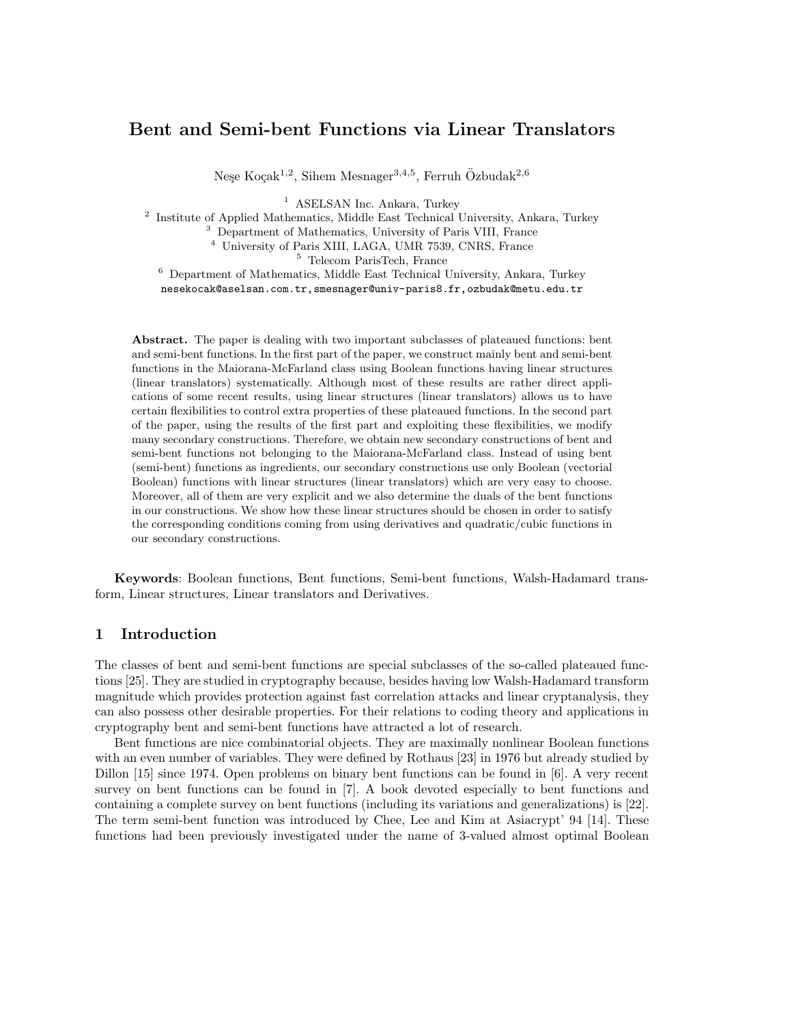# **Bent and Semi-bent Functions via Linear Translators**

Neşe Koçak<sup>1,2</sup>, Sihem Mesnager<sup>3,4,5</sup>, Ferruh Özbudak<sup>2,6</sup>

<sup>1</sup> ASELSAN Inc. Ankara, Turkey

<sup>2</sup> Institute of Applied Mathematics, Middle East Technical University, Ankara, Turkey

<sup>3</sup> Department of Mathematics, University of Paris VIII, France

<sup>4</sup> University of Paris XIII, LAGA, UMR 7539, CNRS, France

<sup>5</sup> Telecom ParisTech, France

<sup>6</sup> Department of Mathematics, Middle East Technical University, Ankara, Turkey nesekocak@aselsan.com.tr,smesnager@univ-paris8.fr,ozbudak@metu.edu.tr

**Abstract.** The paper is dealing with two important subclasses of plateaued functions: bent and semi-bent functions. In the first part of the paper, we construct mainly bent and semi-bent functions in the Maiorana-McFarland class using Boolean functions having linear structures (linear translators) systematically. Although most of these results are rather direct applications of some recent results, using linear structures (linear translators) allows us to have certain flexibilities to control extra properties of these plateaued functions. In the second part of the paper, using the results of the first part and exploiting these flexibilities, we modify many secondary constructions. Therefore, we obtain new secondary constructions of bent and semi-bent functions not belonging to the Maiorana-McFarland class. Instead of using bent (semi-bent) functions as ingredients, our secondary constructions use only Boolean (vectorial Boolean) functions with linear structures (linear translators) which are very easy to choose. Moreover, all of them are very explicit and we also determine the duals of the bent functions in our constructions. We show how these linear structures should be chosen in order to satisfy the corresponding conditions coming from using derivatives and quadratic/cubic functions in our secondary constructions.

**Keywords**: Boolean functions, Bent functions, Semi-bent functions, Walsh-Hadamard transform, Linear structures, Linear translators and Derivatives.

#### **1 Introduction**

The classes of bent and semi-bent functions are special subclasses of the so-called plateaued functions [25]. They are studied in cryptography because, besides having low Walsh-Hadamard transform magnitude which provides protection against fast correlation attacks and linear cryptanalysis, they can also possess other desirable properties. For their relations to coding theory and applications in cryptography bent and semi-bent functions have attracted a lot of research.

Bent functions are nice combinatorial objects. They are maximally nonlinear Boolean functions with an even number of variables. They were defined by Rothaus [23] in 1976 but already studied by Dillon [15] since 1974. Open problems on binary bent functions can be found in [6]. A very recent survey on bent functions can be found in [7]. A book devoted especially to bent functions and containing a complete survey on bent functions (including its variations and generalizations) is [22]. The term semi-bent function was introduced by Chee, Lee and Kim at Asiacrypt' 94 [14]. These functions had been previously investigated under the name of 3-valued almost optimal Boolean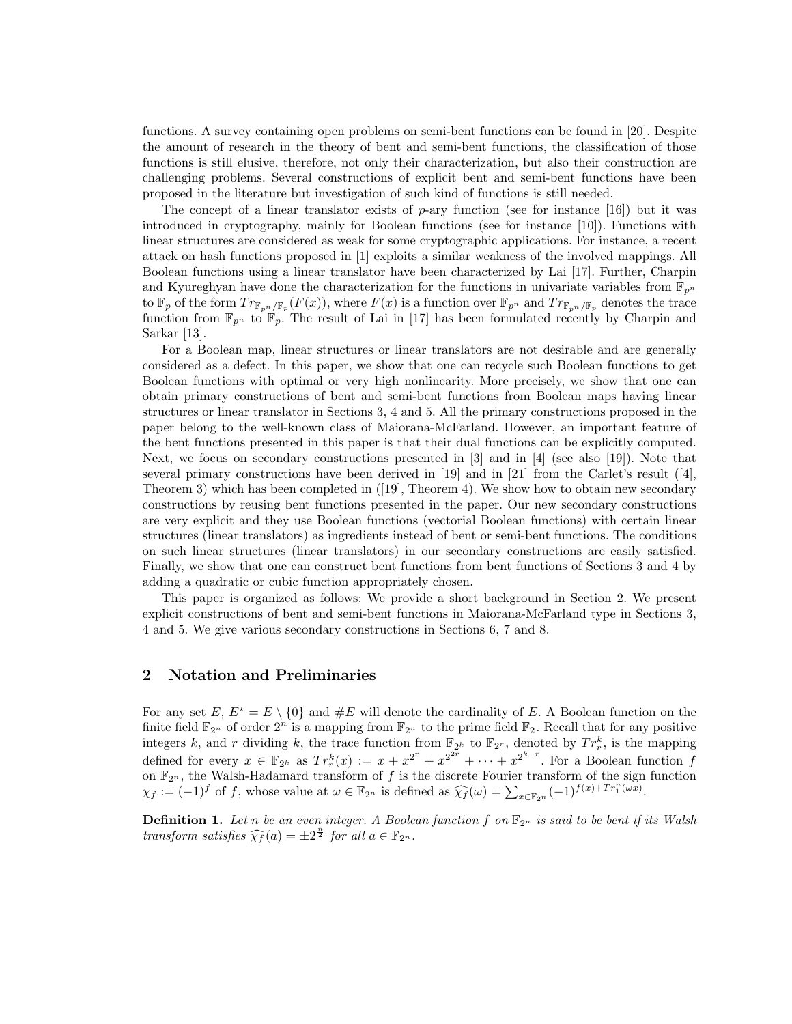functions. A survey containing open problems on semi-bent functions can be found in [20]. Despite the amount of research in the theory of bent and semi-bent functions, the classification of those functions is still elusive, therefore, not only their characterization, but also their construction are challenging problems. Several constructions of explicit bent and semi-bent functions have been proposed in the literature but investigation of such kind of functions is still needed.

The concept of a linear translator exists of *p*-ary function (see for instance [16]) but it was introduced in cryptography, mainly for Boolean functions (see for instance [10]). Functions with linear structures are considered as weak for some cryptographic applications. For instance, a recent attack on hash functions proposed in [1] exploits a similar weakness of the involved mappings. All Boolean functions using a linear translator have been characterized by Lai [17]. Further, Charpin and Kyureghyan have done the characterization for the functions in univariate variables from  $\mathbb{F}_{p^n}$ to  $\mathbb{F}_p$  of the form  $Tr_{\mathbb{F}_{p^n}/\mathbb{F}_p}(F(x))$ , where  $F(x)$  is a function over  $\mathbb{F}_{p^n}$  and  $Tr_{\mathbb{F}_{p^n}/\mathbb{F}_p}$  denotes the trace function from  $\mathbb{F}_{p^n}$  to  $\mathbb{F}_p$ . The result of Lai in [17] has been formulated recently by Charpin and Sarkar [13].

For a Boolean map, linear structures or linear translators are not desirable and are generally considered as a defect. In this paper, we show that one can recycle such Boolean functions to get Boolean functions with optimal or very high nonlinearity. More precisely, we show that one can obtain primary constructions of bent and semi-bent functions from Boolean maps having linear structures or linear translator in Sections 3, 4 and 5. All the primary constructions proposed in the paper belong to the well-known class of Maiorana-McFarland. However, an important feature of the bent functions presented in this paper is that their dual functions can be explicitly computed. Next, we focus on secondary constructions presented in [3] and in [4] (see also [19]). Note that several primary constructions have been derived in [19] and in [21] from the Carlet's result ([4], Theorem 3) which has been completed in ([19], Theorem 4). We show how to obtain new secondary constructions by reusing bent functions presented in the paper. Our new secondary constructions are very explicit and they use Boolean functions (vectorial Boolean functions) with certain linear structures (linear translators) as ingredients instead of bent or semi-bent functions. The conditions on such linear structures (linear translators) in our secondary constructions are easily satisfied. Finally, we show that one can construct bent functions from bent functions of Sections 3 and 4 by adding a quadratic or cubic function appropriately chosen.

This paper is organized as follows: We provide a short background in Section 2. We present explicit constructions of bent and semi-bent functions in Maiorana-McFarland type in Sections 3, 4 and 5. We give various secondary constructions in Sections 6, 7 and 8.

#### **2 Notation and Preliminaries**

For any set  $E, E^* = E \setminus \{0\}$  and  $\#E$  will denote the cardinality of E. A Boolean function on the finite field  $\mathbb{F}_{2^n}$  of order  $2^n$  is a mapping from  $\mathbb{F}_{2^n}$  to the prime field  $\mathbb{F}_2$ . Recall that for any positive integers k, and r dividing k, the trace function from  $\mathbb{F}_{2^k}$  to  $\mathbb{F}_{2^r}$ , denoted by  $Tr_r^k$ , is the mapping defined for every  $x \in \mathbb{F}_{2^k}$  as  $Tr_r^k(x) := x + x^{2^r} + x^{2^{2r}} + \cdots + x^{2^{k-r}}$ . For a Boolean function f on F2*<sup>n</sup>* , the Walsh-Hadamard transform of *f* is the discrete Fourier transform of the sign function  $\chi_f := (-1)^f$  of f, whose value at  $\omega \in \mathbb{F}_{2^n}$  is defined as  $\widehat{\chi_f}(\omega) = \sum_{x \in \mathbb{F}_{2^n}} (-1)^{f(x) + Tr_1^n(\omega x)}$ .

**Definition 1.** Let *n* be an even integer. A Boolean function f on  $\mathbb{F}_{2^n}$  is said to be bent if its Walsh *transform satisfies*  $\widehat{\chi_f}(a) = \pm 2^{\frac{n}{2}}$  *for all*  $a \in \mathbb{F}_{2^n}$ *.*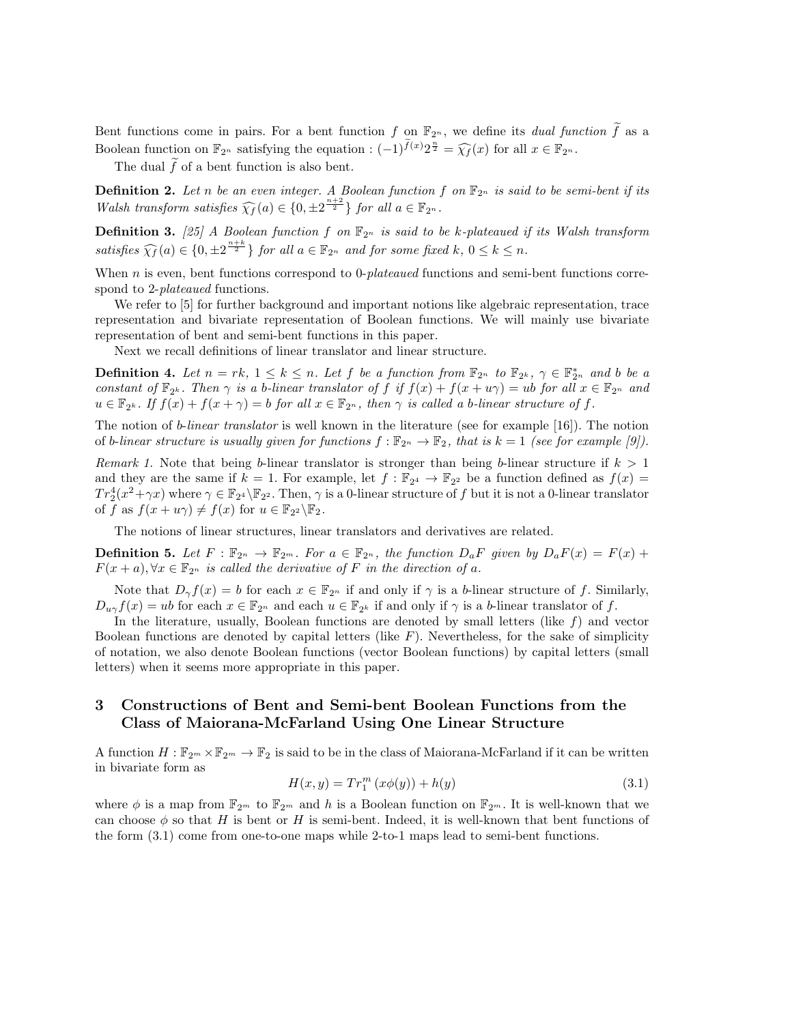Bent functions come in pairs. For a bent function *f* on  $\mathbb{F}_{2^n}$ , we define its *dual function*  $\tilde{f}$  as a Boolean function on  $\mathbb{F}_{2^n}$  satisfying the equation :  $(-1)^{\tilde{f}(x)}2^{\frac{n}{2}} = \widehat{\chi_f}(x)$  for all  $x \in \mathbb{F}_{2^n}$ .

The dual  $\tilde{f}$  of a bent function is also bent.

**Definition 2.** Let *n* be an even integer. A Boolean function  $f$  on  $\mathbb{F}_{2^n}$  is said to be semi-bent if its *Walsh transform satisfies*  $\widehat{\chi_f}(a) \in \{0, \pm 2^{\frac{n+2}{2}}\}$  *for all*  $a \in \mathbb{F}_{2^n}$ *.* 

**Definition 3.** [25] A Boolean function f on  $\mathbb{F}_{2^n}$  is said to be k-plateaued if its Walsh transform satisfies  $\widehat{\chi_f}(a) \in \{0, \pm 2^{\frac{n+k}{2}}\}$  for all  $a \in \mathbb{F}_{2^n}$  and for some fixed  $k, 0 \leq k \leq n$ .

When *n* is even, bent functions correspond to 0-*plateaued* functions and semi-bent functions correspond to 2-*plateaued* functions.

We refer to  $\left[5\right]$  for further background and important notions like algebraic representation, trace representation and bivariate representation of Boolean functions. We will mainly use bivariate representation of bent and semi-bent functions in this paper.

Next we recall definitions of linear translator and linear structure.

**Definition 4.** Let  $n = rk$ ,  $1 \leq k \leq n$ . Let f be a function from  $\mathbb{F}_{2^n}$  to  $\mathbb{F}_{2^k}$ ,  $\gamma \in \mathbb{F}_{2^n}^*$  and b be a constant of  $\mathbb{F}_{2^k}$ . Then  $\gamma$  is a b-linear translator of f if  $f(x) + f(x + u\gamma) = ub$  for all  $x \in \mathbb{F}_{2^n}$  and  $u \in \mathbb{F}_{2^k}$ . If  $f(x) + f(x + \gamma) = b$  for all  $x \in \mathbb{F}_{2^n}$ , then  $\gamma$  is called a b-linear structure of f.

The notion of *b*-*linear translator* is well known in the literature (see for example [16]). The notion of *b*-*linear structure is usually given for functions*  $f : \mathbb{F}_{2^n} \to \mathbb{F}_2$ , that is  $k = 1$  (see for example [9]).

*Remark 1.* Note that being *b*-linear translator is stronger than being *b*-linear structure if *k >* 1 and they are the same if  $k = 1$ . For example, let  $f : \mathbb{F}_{2^4} \to \mathbb{F}_{2^2}$  be a function defined as  $f(x) =$  $Tr_2^4(x^2 + \gamma x)$  where  $\gamma \in \mathbb{F}_{2^4} \backslash \mathbb{F}_{2^2}$ . Then,  $\gamma$  is a 0-linear structure of *f* but it is not a 0-linear translator of *f* as  $f(x + u\gamma) \neq f(x)$  for  $u \in \mathbb{F}_{2^2} \backslash \mathbb{F}_2$ .

The notions of linear structures, linear translators and derivatives are related.

**Definition 5.** Let  $F : \mathbb{F}_{2^n} \to \mathbb{F}_{2^m}$ . For  $a \in \mathbb{F}_{2^n}$ , the function  $D_aF$  given by  $D_aF(x) = F(x) +$  $F(x+a), \forall x \in \mathbb{F}_{2^n}$  *is called the derivative of F in the direction of a.* 

Note that  $D_{\gamma} f(x) = b$  for each  $x \in \mathbb{F}_{2^n}$  if and only if  $\gamma$  is a *b*-linear structure of *f*. Similarly,  $D_{u\gamma} f(x) = ub$  for each  $x \in \mathbb{F}_{2^n}$  and each  $u \in \mathbb{F}_{2^k}$  if and only if  $\gamma$  is a *b*-linear translator of *f*.

In the literature, usually, Boolean functions are denoted by small letters (like *f*) and vector Boolean functions are denoted by capital letters (like *F*). Nevertheless, for the sake of simplicity of notation, we also denote Boolean functions (vector Boolean functions) by capital letters (small letters) when it seems more appropriate in this paper.

### **3 Constructions of Bent and Semi-bent Boolean Functions from the Class of Maiorana-McFarland Using One Linear Structure**

A function  $H: \mathbb{F}_{2^m} \times \mathbb{F}_{2^m} \to \mathbb{F}_2$  is said to be in the class of Maiorana-McFarland if it can be written in bivariate form as

$$
H(x, y) = Tr_1^m (x\phi(y)) + h(y)
$$
\n(3.1)

where  $\phi$  is a map from  $\mathbb{F}_{2^m}$  to  $\mathbb{F}_{2^m}$  and h is a Boolean function on  $\mathbb{F}_{2^m}$ . It is well-known that we can choose  $\phi$  so that *H* is bent or *H* is semi-bent. Indeed, it is well-known that bent functions of the form (3.1) come from one-to-one maps while 2-to-1 maps lead to semi-bent functions.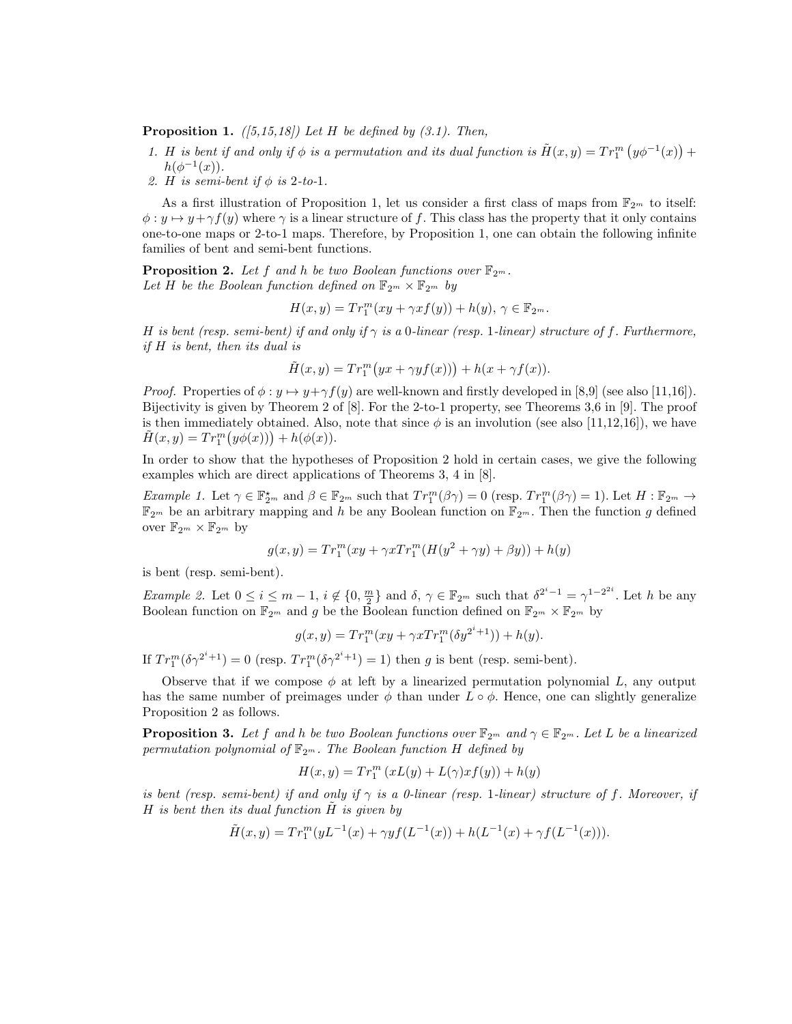**Proposition 1.** *([5,15,18]) Let H be defined by (3.1). Then,*

- *1. H is bent if and only if*  $\phi$  *is a permutation and its dual function is*  $\tilde{H}(x, y) = Tr_1^m (y\phi^{-1}(x)) +$  $h(\phi^{-1}(x)).$
- *2. H is semi-bent if ϕ is* 2*-to-*1*.*

As a first illustration of Proposition 1, let us consider a first class of maps from  $\mathbb{F}_{2^m}$  to itself:  $\phi: y \mapsto y + \gamma f(y)$  where  $\gamma$  is a linear structure of f. This class has the property that it only contains one-to-one maps or 2-to-1 maps. Therefore, by Proposition 1, one can obtain the following infinite families of bent and semi-bent functions.

**Proposition 2.** Let  $f$  and  $h$  be two Boolean functions over  $\mathbb{F}_{2^m}$ . Let *H* be the Boolean function defined on  $\mathbb{F}_{2^m} \times \mathbb{F}_{2^m}$  by

$$
H(x,y) = Tr_1^m(xy + \gamma x f(y)) + h(y), \ \gamma \in \mathbb{F}_{2^m}.
$$

*H is bent (resp. semi-bent) if and only if γ is a* 0*-linear (resp.* 1*-linear) structure of f. Furthermore, if H is bent, then its dual is*

$$
\tilde{H}(x,y) = Tr_1^m(yx + \gamma yf(x)) + h(x + \gamma f(x)).
$$

*Proof.* Properties of  $\phi: y \mapsto y + \gamma f(y)$  are well-known and firstly developed in [8,9] (see also [11,16]). Bijectivity is given by Theorem 2 of [8]. For the 2-to-1 property, see Theorems 3,6 in [9]. The proof is then immediately obtained. Also, note that since  $\phi$  is an involution (see also [11,12,16]), we have  $\tilde{H}(x, y) = Tr_1^m(y\phi(x)) + h(\phi(x)).$ 

In order to show that the hypotheses of Proposition 2 hold in certain cases, we give the following examples which are direct applications of Theorems 3, 4 in [8].

*Example 1*. Let  $\gamma \in \mathbb{F}_{2^m}^{\star}$  and  $\beta \in \mathbb{F}_{2^m}$  such that  $Tr_1^m(\beta \gamma) = 0$  (resp.  $Tr_1^m(\beta \gamma) = 1$ ). Let  $H : \mathbb{F}_{2^m} \to$  $\mathbb{F}_{2^m}$  be an arbitrary mapping and *h* be any Boolean function on  $\mathbb{F}_{2^m}$ . Then the function *g* defined over  $\mathbb{F}_{2^m} \times \mathbb{F}_{2^m}$  by

$$
g(x, y) = Tr_1^m (xy + \gamma x Tr_1^m (H(y^2 + \gamma y) + \beta y)) + h(y)
$$

is bent (resp. semi-bent).

*Example 2.* Let  $0 \le i \le m-1$ ,  $i \notin \{0, \frac{m}{2}\}\$  and  $\delta, \gamma \in \mathbb{F}_{2^m}$  such that  $\delta^{2^i-1} = \gamma^{1-2^{2i}}$ . Let h be any Boolean function on  $\mathbb{F}_{2^m}$  and *g* be the Boolean function defined on  $\mathbb{F}_{2^m} \times \mathbb{F}_{2^m}$  by

$$
g(x,y) = Tr_1^m(xy + \gamma x Tr_1^m(\delta y^{2^i+1})) + h(y).
$$

If  $Tr_1^m(\delta \gamma^{2^i+1}) = 0$  (resp.  $Tr_1^m(\delta \gamma^{2^i+1}) = 1$ ) then *g* is bent (resp. semi-bent).

Observe that if we compose  $\phi$  at left by a linearized permutation polynomial  $L$ , any output has the same number of preimages under  $\phi$  than under  $L \circ \phi$ . Hence, one can slightly generalize Proposition 2 as follows.

**Proposition 3.** Let f and h be two Boolean functions over  $\mathbb{F}_{2^m}$  and  $\gamma \in \mathbb{F}_{2^m}$ . Let L be a linearized *permutation polynomial of*  $\mathbb{F}_{2^m}$ *. The Boolean function H defined by* 

$$
H(x,y) = Tr_1^m (xL(y) + L(\gamma)xf(y)) + h(y)
$$

*is bent (resp. semi-bent) if and only if*  $\gamma$  *is a 0-linear (resp. 1-linear) structure of f. Moreover, if*  $H$  *is bent then its dual function*  $\tilde{H}$  *is given by* 

$$
\tilde{H}(x,y) = Tr_1^m(yL^{-1}(x) + \gamma y f(L^{-1}(x)) + h(L^{-1}(x) + \gamma f(L^{-1}(x))).
$$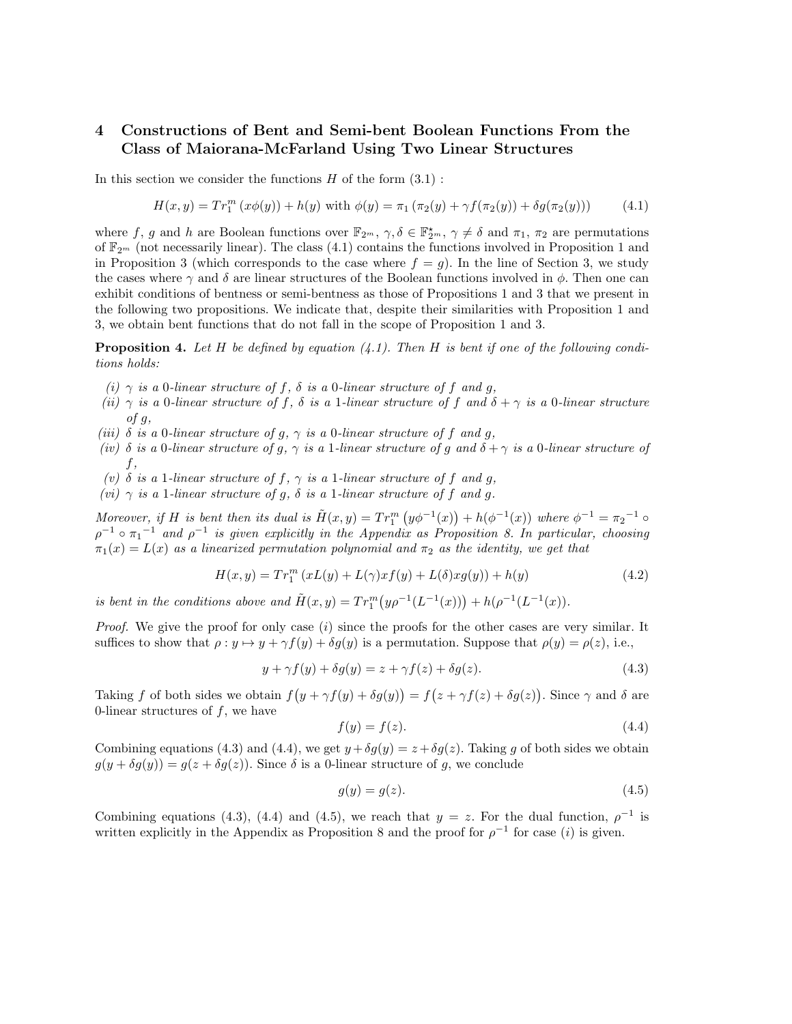## **4 Constructions of Bent and Semi-bent Boolean Functions From the Class of Maiorana-McFarland Using Two Linear Structures**

In this section we consider the functions *H* of the form (3.1) :

$$
H(x,y) = Tr_1^m (x\phi(y)) + h(y) \text{ with } \phi(y) = \pi_1 (\pi_2(y) + \gamma f(\pi_2(y)) + \delta g(\pi_2(y))) \tag{4.1}
$$

where *f*, *g* and *h* are Boolean functions over  $\mathbb{F}_{2^m}$ ,  $\gamma$ ,  $\delta \in \mathbb{F}_{2^m}^*$ ,  $\gamma \neq \delta$  and  $\pi_1$ ,  $\pi_2$  are permutations of  $\mathbb{F}_{2^m}$  (not necessarily linear). The class (4.1) contains the functions involved in Proposition 1 and in Proposition 3 (which corresponds to the case where  $f = g$ ). In the line of Section 3, we study the cases where  $\gamma$  and  $\delta$  are linear structures of the Boolean functions involved in  $\phi$ . Then one can exhibit conditions of bentness or semi-bentness as those of Propositions 1 and 3 that we present in the following two propositions. We indicate that, despite their similarities with Proposition 1 and 3, we obtain bent functions that do not fall in the scope of Proposition 1 and 3.

**Proposition 4.** *Let H be defined by equation (4.1). Then H is bent if one of the following conditions holds:*

- $(i)$   $\gamma$  *is a* 0*-linear structure of*  $f$ *,*  $\delta$  *is a* 0*-linear structure of*  $f$  *and*  $g$ *,*
- *(ii)*  $\gamma$  *is a* 0*-linear structure of f,*  $\delta$  *<i>is a* 1*-linear structure of f and*  $\delta + \gamma$  *is a* 0*-linear structure of g,*
- *(iii)*  $\delta$  *is a* 0*-linear structure of g,*  $\gamma$  *<i>is a* 0*-linear structure of*  $f$  *and*  $g$ *,*
- *(iv) δ is a* 0*-linear structure of g, γ is a* 1*-linear structure of g and δ* + *γ is a* 0*-linear structure of f,*
- *(v) δ is a* 1*-linear structure of f, γ is a* 1*-linear structure of f and g,*
- $(vi)$   $\gamma$  *is a* 1*-linear structure of g,*  $\delta$  *<i>is a* 1*-linear structure of*  $f$  *and g.*

Moreover, if H is bent then its dual is  $\tilde{H}(x,y) = Tr_1^m (y\phi^{-1}(x)) + h(\phi^{-1}(x))$  where  $\phi^{-1} = \pi_2^{-1}$  $\rho^{-1}$   $\circ$   $\pi_1^{-1}$  *and*  $\rho^{-1}$  *is given explicitly in the Appendix as Proposition 8. In particular, choosing*  $m_1(x) = L(x)$  *as a linearized permutation polynomial and*  $\pi_2$  *as the identity, we get that* 

$$
H(x,y) = Tr_1^m (xL(y) + L(\gamma)xf(y) + L(\delta)xg(y)) + h(y)
$$
\n(4.2)

*is bent in the conditions above and*  $\tilde{H}(x, y) = Tr_1^m(y\rho^{-1}(L^{-1}(x))) + h(\rho^{-1}(L^{-1}(x)).$ 

*Proof.* We give the proof for only case (*i*) since the proofs for the other cases are very similar. It suffices to show that  $\rho: y \mapsto y + \gamma f(y) + \delta g(y)$  is a permutation. Suppose that  $\rho(y) = \rho(z)$ , i.e.,

$$
y + \gamma f(y) + \delta g(y) = z + \gamma f(z) + \delta g(z). \tag{4.3}
$$

Taking *f* of both sides we obtain  $f(y + \gamma f(y) + \delta g(y)) = f(z + \gamma f(z) + \delta g(z))$ . Since  $\gamma$  and  $\delta$  are 0-linear structures of *f*, we have

$$
f(y) = f(z). \tag{4.4}
$$

Combining equations (4.3) and (4.4), we get  $y + \delta g(y) = z + \delta g(z)$ . Taking g of both sides we obtain  $g(y + \delta g(y)) = g(z + \delta g(z))$ . Since  $\delta$  is a 0-linear structure of *g*, we conclude

$$
g(y) = g(z). \tag{4.5}
$$

Combining equations (4.3), (4.4) and (4.5), we reach that  $y = z$ . For the dual function,  $\rho^{-1}$  is written explicitly in the Appendix as Proposition 8 and the proof for  $\rho^{-1}$  for case (*i*) is given.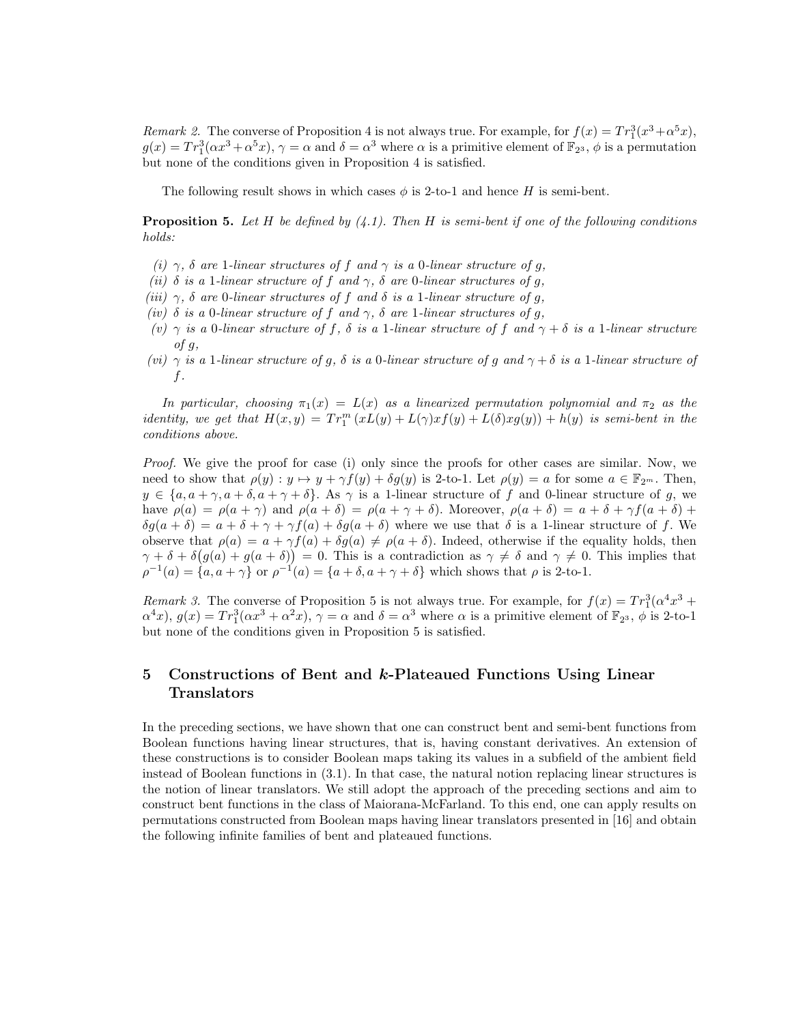*Remark 2.* The converse of Proposition 4 is not always true. For example, for  $f(x) = Tr_1^3(x^3 + \alpha^5 x)$ ,  $g(x) = Tr_1^3(\alpha x^3 + \alpha^5 x), \gamma = \alpha$  and  $\delta = \alpha^3$  where  $\alpha$  is a primitive element of  $\mathbb{F}_{2^3}$ ,  $\phi$  is a permutation but none of the conditions given in Proposition 4 is satisfied.

The following result shows in which cases  $\phi$  is 2-to-1 and hence *H* is semi-bent.

**Proposition 5.** *Let H be defined by (4.1). Then H is semi-bent if one of the following conditions holds:*

- *(i) γ, δ are* 1*-linear structures of f and γ is a* 0*-linear structure of g,*
- *(ii) δ is a* 1*-linear structure of f and γ, δ are* 0*-linear structures of g,*
- *(iii) γ, δ are* 0*-linear structures of f and δ is a* 1*-linear structure of g,*
- *(iv) δ is a* 0*-linear structure of f and γ, δ are* 1*-linear structures of g,*
- *(v) γ is a* 0*-linear structure of f, δ is a* 1*-linear structure of f and γ* + *δ is a* 1*-linear structure of g,*
- *(vi) γ is a* 1*-linear structure of g, δ is a* 0*-linear structure of g and γ* + *δ is a* 1*-linear structure of f.*

*In particular, choosing*  $\pi_1(x) = L(x)$  *as a linearized permutation polynomial and*  $\pi_2$  *as the identity, we get that*  $H(x,y) = Tr_1^m (xL(y) + L(\gamma)xf(y) + L(\delta)xy(y)) + h(y)$  *is semi-bent in the conditions above.*

*Proof.* We give the proof for case (i) only since the proofs for other cases are similar. Now, we need to show that  $\rho(y) : y \mapsto y + \gamma f(y) + \delta g(y)$  is 2-to-1. Let  $\rho(y) = a$  for some  $a \in \mathbb{F}_{2^m}$ . Then,  $y \in \{a, a + \gamma, a + \delta, a + \gamma + \delta\}$ . As  $\gamma$  is a 1-linear structure of *f* and 0-linear structure of *g*, we have  $\rho(a) = \rho(a + \gamma)$  and  $\rho(a + \delta) = \rho(a + \gamma + \delta)$ . Moreover,  $\rho(a + \delta) = a + \delta + \gamma f(a + \delta) + \gamma$  $\delta g(a+\delta) = a + \delta + \gamma + \gamma f(a) + \delta g(a+\delta)$  where we use that  $\delta$  is a 1-linear structure of *f*. We observe that  $\rho(a) = a + \gamma f(a) + \delta g(a) \neq \rho(a + \delta)$ . Indeed, otherwise if the equality holds, then  $\gamma + \delta + \delta(g(a) + g(a + \delta)) = 0$ . This is a contradiction as  $\gamma \neq \delta$  and  $\gamma \neq 0$ . This implies that  $\rho^{-1}(a) = \{a, a + \gamma\}$  or  $\rho^{-1}(a) = \{a + \delta, a + \gamma + \delta\}$  which shows that  $\rho$  is 2-to-1.

*Remark 3.* The converse of Proposition 5 is not always true. For example, for  $f(x) = Tr_1^3(\alpha^4 x^3 +$  $\alpha^4 x$ ,  $g(x) = Tr_1^3(\alpha x^3 + \alpha^2 x)$ ,  $\gamma = \alpha$  and  $\delta = \alpha^3$  where  $\alpha$  is a primitive element of  $\mathbb{F}_{2^3}$ ,  $\phi$  is 2-to-1 but none of the conditions given in Proposition 5 is satisfied.

# **5 Constructions of Bent and** *k***-Plateaued Functions Using Linear Translators**

In the preceding sections, we have shown that one can construct bent and semi-bent functions from Boolean functions having linear structures, that is, having constant derivatives. An extension of these constructions is to consider Boolean maps taking its values in a subfield of the ambient field instead of Boolean functions in (3.1). In that case, the natural notion replacing linear structures is the notion of linear translators. We still adopt the approach of the preceding sections and aim to construct bent functions in the class of Maiorana-McFarland. To this end, one can apply results on permutations constructed from Boolean maps having linear translators presented in [16] and obtain the following infinite families of bent and plateaued functions.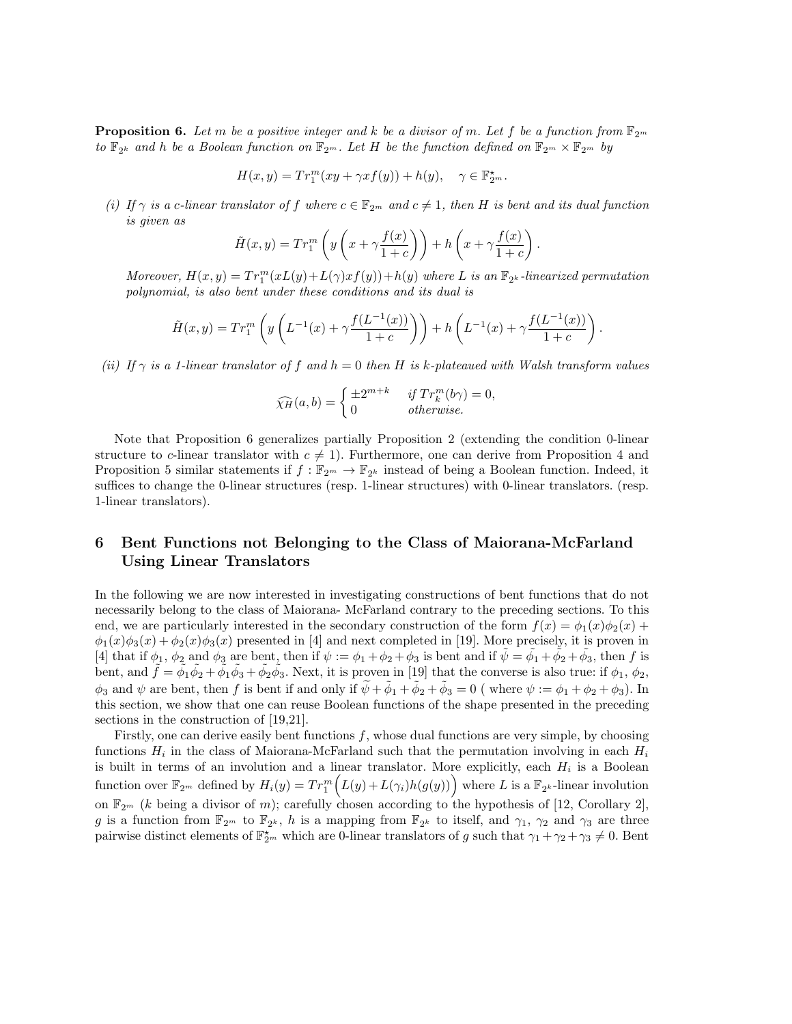**Proposition 6.** Let m be a positive integer and k be a divisor of m. Let f be a function from  $\mathbb{F}_{2^m}$ *to*  $\mathbb{F}_{2^k}$  *and h be a Boolean function on*  $\mathbb{F}_{2^m}$ *. Let H be the function defined on*  $\mathbb{F}_{2^m} \times \mathbb{F}_{2^m}$  *by* 

$$
H(x,y) = Tr_1^m(xy + \gamma x f(y)) + h(y), \quad \gamma \in \mathbb{F}_{2^m}^*.
$$

*(i)* If  $\gamma$  is a *c*-linear translator of f where  $c \in \mathbb{F}_{2^m}$  and  $c \neq 1$ , then H is bent and its dual function *is given as*

$$
\tilde{H}(x,y) = Tr_1^m \left( y \left( x + \gamma \frac{f(x)}{1+c} \right) \right) + h \left( x + \gamma \frac{f(x)}{1+c} \right).
$$

*Moreover,*  $H(x, y) = Tr_1^m(xL(y) + L(\gamma)xf(y)) + h(y)$  where *L* is an  $\mathbb{F}_{2^k}$ -linearized permutation *polynomial, is also bent under these conditions and its dual is*

$$
\tilde{H}(x,y) = Tr_1^m \left( y \left( L^{-1}(x) + \gamma \frac{f(L^{-1}(x))}{1+c} \right) \right) + h \left( L^{-1}(x) + \gamma \frac{f(L^{-1}(x))}{1+c} \right).
$$

*(ii)* If  $\gamma$  *is a 1-linear translator of*  $f$  *and*  $h = 0$  *then*  $H$  *is*  $k$ *-plateaued with Walsh transform values* 

$$
\widehat{\chi_H}(a,b) = \begin{cases} \pm 2^{m+k} & \text{if } Tr_k^m(b\gamma) = 0, \\ 0 & \text{otherwise.} \end{cases}
$$

Note that Proposition 6 generalizes partially Proposition 2 (extending the condition 0-linear structure to *c*-linear translator with  $c \neq 1$ ). Furthermore, one can derive from Proposition 4 and Proposition 5 similar statements if  $f : \mathbb{F}_{2^m} \to \mathbb{F}_{2^k}$  instead of being a Boolean function. Indeed, it suffices to change the 0-linear structures (resp. 1-linear structures) with 0-linear translators. (resp. 1-linear translators).

# **6 Bent Functions not Belonging to the Class of Maiorana-McFarland Using Linear Translators**

In the following we are now interested in investigating constructions of bent functions that do not necessarily belong to the class of Maiorana- McFarland contrary to the preceding sections. To this end, we are particularly interested in the secondary construction of the form  $f(x) = \phi_1(x)\phi_2(x) +$  $\phi_1(x)\phi_3(x) + \phi_2(x)\phi_3(x)$  presented in [4] and next completed in [19]. More precisely, it is proven in [4] that if  $\phi_1$ ,  $\phi_2$  and  $\phi_3$  are bent, then if  $\psi := \phi_1 + \phi_2 + \phi_3$  is bent and if  $\tilde{\psi} = \tilde{\phi_1} + \tilde{\phi_2} + \tilde{\phi_3}$ , then *f* is bent, and  $\tilde{f} = \tilde{\phi}_1 \tilde{\phi}_2 + \tilde{\phi}_1 \tilde{\phi}_3 + \tilde{\phi}_2 \tilde{\phi}_3$ . Next, it is proven in [19] that the converse is also true: if  $\phi_1$ ,  $\phi_2$ ,  $\phi_3$  and  $\psi$  are bent, then *f* is bent if and only if  $\widetilde{\psi} + \widetilde{\phi}_1 + \widetilde{\phi}_2 + \widetilde{\phi}_3 = 0$  (where  $\psi := \phi_1 + \phi_2 + \phi_3$ ). In this section, we show that one can reuse Boolean functions of the shape presented in the preceding sections in the construction of [19,21].

Firstly, one can derive easily bent functions *f*, whose dual functions are very simple, by choosing functions  $H_i$  in the class of Maiorana-McFarland such that the permutation involving in each  $H_i$ is built in terms of an involution and a linear translator. More explicitly, each *H<sup>i</sup>* is a Boolean function over  $\mathbb{F}_{2^m}$  defined by  $H_i(y) = Tr_1^m(L(y) + L(\gamma_i)h(g(y)))$  where *L* is a  $\mathbb{F}_{2^k}$ -linear involution on  $\mathbb{F}_{2^m}$  (*k* being a divisor of *m*); carefully chosen according to the hypothesis of [12, Corollary 2], *g* is a function from  $\mathbb{F}_{2^m}$  to  $\mathbb{F}_{2^k}$ , *h* is a mapping from  $\mathbb{F}_{2^k}$  to itself, and  $\gamma_1$ ,  $\gamma_2$  and  $\gamma_3$  are three pairwise distinct elements of  $\mathbb{F}_{2^m}^*$  which are 0-linear translators of *g* such that  $\gamma_1 + \gamma_2 + \gamma_3 \neq 0$ . Bent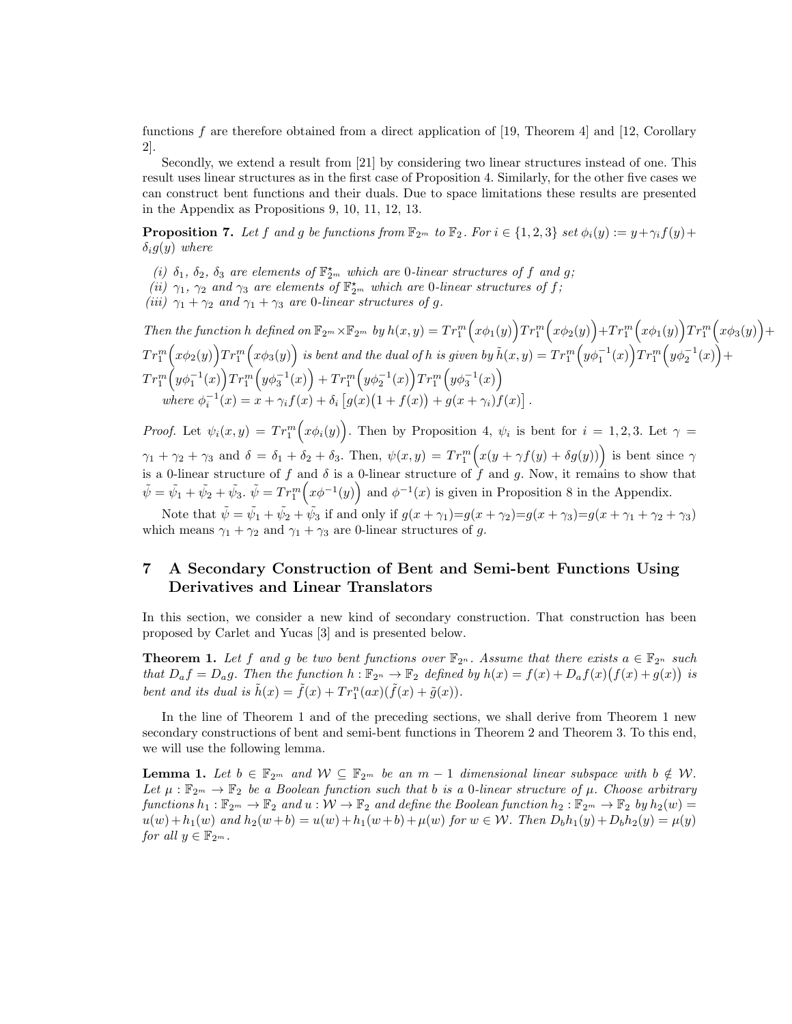functions *f* are therefore obtained from a direct application of [19, Theorem 4] and [12, Corollary 2].

Secondly, we extend a result from [21] by considering two linear structures instead of one. This result uses linear structures as in the first case of Proposition 4. Similarly, for the other five cases we can construct bent functions and their duals. Due to space limitations these results are presented in the Appendix as Propositions 9, 10, 11, 12, 13.

**Proposition 7.** Let f and g be functions from  $\mathbb{F}_{2^m}$  to  $\mathbb{F}_2$ . For  $i \in \{1,2,3\}$  set  $\phi_i(y) := y + \gamma_i f(y) + \gamma_i f(y)$ *δig*(*y*) *where*

- (*i*)  $\delta_1$ ,  $\delta_2$ ,  $\delta_3$  *are elements of*  $\mathbb{F}_{2^m}^{\star}$  *which are* 0*-linear structures of f and g*;
- *(ii)*  $\gamma_1$ ,  $\gamma_2$  *and*  $\gamma_3$  *are elements of*  $\mathbb{F}_{2^m}^*$  *which are* 0*-linear structures of*  $f$ ;
- *(iii)*  $\gamma_1 + \gamma_2$  *and*  $\gamma_1 + \gamma_3$  *are* 0*-linear structures of g.*

Then the function h defined on  $\mathbb{F}_{2^m}\times\mathbb{F}_{2^m}$  by  $h(x,y)=Tr_1^m(x\phi_1(y))Tr_1^m(x\phi_2(y))+Tr_1^m(x\phi_1(y))Tr_1^m(x\phi_3(y))+$  $Tr^m_1\Big(x\phi_2(y)\Big)Tr^m_1\Big(x\phi_3(y)\Big)$  is bent and the dual of  $h$  is given by  $\tilde h(x,y)=Tr^m_1\Big(y\phi_1^{-1}(x)\Big)Tr^m_1\Big(y\phi_2^{-1}(x)\Big)+$  $Tr^m_1\Big(y\phi^{-1}_1(x)\Big)Tr^m_1\Big(y\phi^{-1}_3(x)\Big)+Tr^m_1\Big(y\phi^{-1}_2(x)\Big)Tr^m_1\Big(y\phi^{-1}_3(x)\Big)$ where  $\phi_i^{-1}(x) = x + \gamma_i f(x) + \delta_i [g(x)(1 + f(x)) + g(x + \gamma_i) f(x)].$ 

*Proof.* Let  $\psi_i(x, y) = Tr_1^m(x\phi_i(y))$ . Then by Proposition 4,  $\psi_i$  is bent for  $i = 1, 2, 3$ . Let  $\gamma =$  $\gamma_1 + \gamma_2 + \gamma_3$  and  $\delta = \delta_1 + \delta_2 + \delta_3$ . Then,  $\psi(x, y) = Tr_1^m \Big( x(y + \gamma f(y) + \delta g(y)) \Big)$  is bent since  $\gamma$ is a 0-linear structure of  $f$  and  $\delta$  is a 0-linear structure of  $\hat{f}$  and  $g$ . Now, it remains to show that  $\tilde{\psi} = \tilde{\psi}_1 + \tilde{\psi}_2 + \tilde{\psi}_3$ .  $\tilde{\psi} = \text{Tr}_{1}^{m} (x\phi^{-1}(y))$  and  $\phi^{-1}(x)$  is given in Proposition 8 in the Appendix.

Note that  $\tilde{\psi} = \tilde{\psi}_1 + \tilde{\psi}_2 + \tilde{\psi}_3$  if and only if  $g(x + \gamma_1) = g(x + \gamma_2) = g(x + \gamma_3) = g(x + \gamma_1 + \gamma_2 + \gamma_3)$ which means  $\gamma_1 + \gamma_2$  and  $\gamma_1 + \gamma_3$  are 0-linear structures of *g*.

# **7 A Secondary Construction of Bent and Semi-bent Functions Using Derivatives and Linear Translators**

In this section, we consider a new kind of secondary construction. That construction has been proposed by Carlet and Yucas [3] and is presented below.

**Theorem 1.** Let *f* and *g* be two bent functions over  $\mathbb{F}_{2^n}$ . Assume that there exists  $a \in \mathbb{F}_{2^n}$  such that  $D_{a}f = D_{a}g$ . Then the function  $h: \mathbb{F}_{2^{n}} \to \mathbb{F}_{2}$  defined by  $h(x) = f(x) + D_{a}f(x)(f(x) + g(x))$  is *bent and its dual is*  $\tilde{h}(x) = \tilde{f}(x) + Tr_1^n(ax)(\tilde{f}(x) + \tilde{g}(x))$ .

In the line of Theorem 1 and of the preceding sections, we shall derive from Theorem 1 new secondary constructions of bent and semi-bent functions in Theorem 2 and Theorem 3. To this end, we will use the following lemma.

**Lemma 1.** Let  $b \in \mathbb{F}_{2^m}$  and  $\mathcal{W} \subseteq \mathbb{F}_{2^m}$  be an  $m-1$  dimensional linear subspace with  $b \notin \mathcal{W}$ . Let  $\mu$ :  $\mathbb{F}_{2^m} \to \mathbb{F}_2$  *be a Boolean function such that b is a 0-linear structure of*  $\mu$ *. Choose arbitrary functions*  $h_1 : \mathbb{F}_{2^m} \to \mathbb{F}_2$  *and*  $u : \mathcal{W} \to \mathbb{F}_2$  *and define the Boolean function*  $h_2 : \mathbb{F}_{2^m} \to \mathbb{F}_2$  *by*  $h_2(w) =$  $u(w) + h_1(w)$  and  $h_2(w + b) = u(w) + h_1(w + b) + \mu(w)$  for  $w \in \mathcal{W}$ . Then  $D_b h_1(y) + D_b h_2(y) = \mu(y)$ *for all*  $y \in \mathbb{F}_{2^m}$ *.*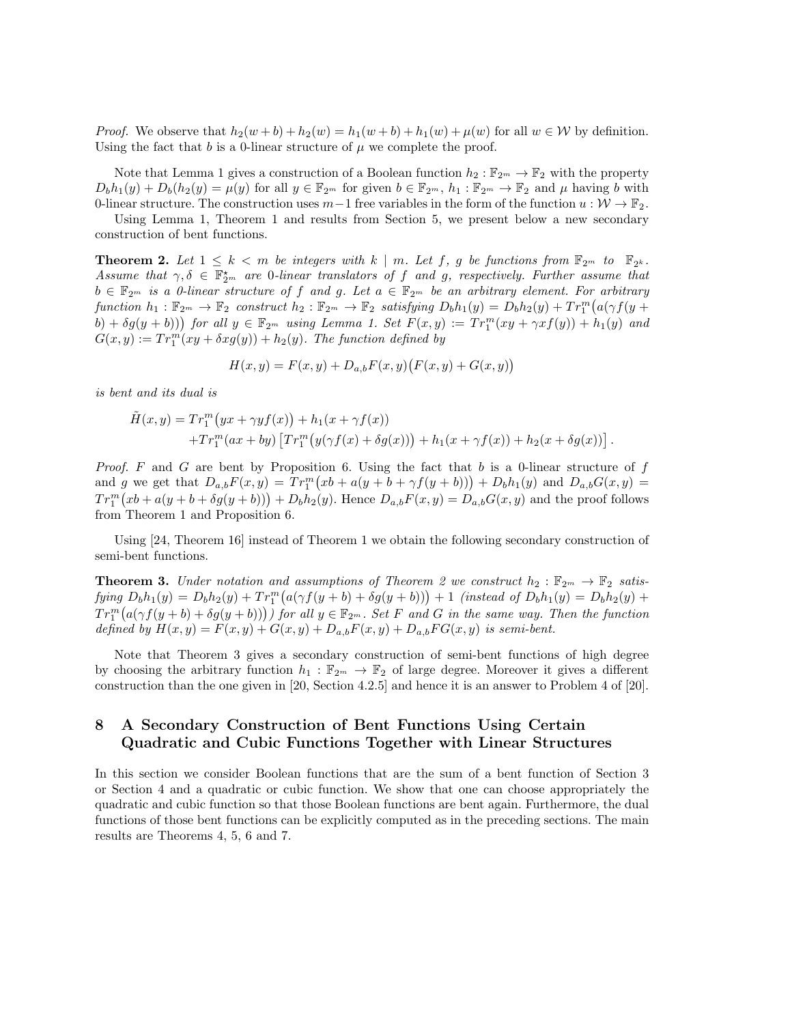*Proof.* We observe that  $h_2(w + b) + h_2(w) = h_1(w + b) + h_1(w) + \mu(w)$  for all  $w \in \mathcal{W}$  by definition. Using the fact that  $b$  is a 0-linear structure of  $\mu$  we complete the proof.

Note that Lemma 1 gives a construction of a Boolean function  $h_2 : \mathbb{F}_{2^m} \to \mathbb{F}_2$  with the property  $D_b h_1(y) + D_b(h_2(y)) = \mu(y)$  for all  $y \in \mathbb{F}_{2^m}$  for given  $b \in \mathbb{F}_{2^m}$ ,  $h_1 : \mathbb{F}_{2^m} \to \mathbb{F}_2$  and  $\mu$  having b with 0-linear structure. The construction uses  $m-1$  free variables in the form of the function  $u : \mathcal{W} \to \mathbb{F}_2$ .

Using Lemma 1, Theorem 1 and results from Section 5, we present below a new secondary construction of bent functions.

**Theorem 2.** Let  $1 \leq k < m$  be integers with  $k \mid m$ . Let  $f$ ,  $g$  be functions from  $\mathbb{F}_{2^m}$  to  $\mathbb{F}_{2^k}$ . *Assume that*  $\gamma, \delta \in \mathbb{F}_{2^m}^{\star}$  *are* 0*-linear translators of f and g, respectively. Further assume that*  $b \in \mathbb{F}_{2^m}$  *is a 0-linear structure of f and g. Let*  $a \in \mathbb{F}_{2^m}$  *be an arbitrary element. For arbitrary* function  $h_1: \mathbb{F}_{2^m} \to \mathbb{F}_2$  construct  $h_2: \mathbb{F}_{2^m} \to \mathbb{F}_2$  satisfying  $D_b h_1(y) = D_b h_2(y) + Tr_1^m (a(\gamma f(y +$  $(b) + \delta g(y + b))$  for all  $y \in \mathbb{F}_{2^m}$  using Lemma 1. Set  $F(x, y) := Tr_1^m(xy + \gamma x f(y)) + h_1(y)$  and  $G(x, y) := Tr_1^m(xy + \delta x g(y)) + h_2(y)$ . The function defined by

$$
H(x, y) = F(x, y) + D_{a,b}F(x, y)(F(x, y) + G(x, y))
$$

*is bent and its dual is*

$$
\tilde{H}(x,y) = Tr_1^m (yx + \gamma y f(x)) + h_1(x + \gamma f(x)) \n+ Tr_1^m (ax + by) [Tr_1^m (y(\gamma f(x) + \delta g(x))) + h_1(x + \gamma f(x)) + h_2(x + \delta g(x))].
$$

*Proof. F* and *G* are bent by Proposition 6. Using the fact that *b* is a 0-linear structure of *f* and g we get that  $D_{a,b}F(x,y) = Tr_1^m(xb + a(y + b + \gamma f(y + b))) + D_bh_1(y)$  and  $D_{a,b}G(x,y) =$  $Tr_1^m(xb + a(y + b + \delta g(y + b))) + D_bh_2(y)$ . Hence  $D_{a,b}F(x, y) = D_{a,b}G(x, y)$  and the proof follows from Theorem 1 and Proposition 6.

Using [24, Theorem 16] instead of Theorem 1 we obtain the following secondary construction of semi-bent functions.

**Theorem 3.** *Under notation and assumptions of Theorem 2 we construct*  $h_2: \mathbb{F}_{2^m} \to \mathbb{F}_2$  *satis*fying  $D_b h_1(y) = D_b h_2(y) + Tr_1^m (a(\gamma f(y+b) + \delta g(y+b))) + 1$  (instead of  $D_b h_1(y) = D_b h_2(y) +$  $Tr_1^m(a(\gamma f(y+b)+\delta g(y+b))))$  for all  $y \in \mathbb{F}_{2^m}$ . Set F and G in the same way. Then the function *defined by*  $H(x, y) = F(x, y) + G(x, y) + D_{a,b}F(x, y) + D_{a,b}FG(x, y)$  *is semi-bent.* 

Note that Theorem 3 gives a secondary construction of semi-bent functions of high degree by choosing the arbitrary function  $h_1 : \mathbb{F}_{2^m} \to \mathbb{F}_2$  of large degree. Moreover it gives a different construction than the one given in [20, Section 4.2.5] and hence it is an answer to Problem 4 of [20].

## **8 A Secondary Construction of Bent Functions Using Certain Quadratic and Cubic Functions Together with Linear Structures**

In this section we consider Boolean functions that are the sum of a bent function of Section 3 or Section 4 and a quadratic or cubic function. We show that one can choose appropriately the quadratic and cubic function so that those Boolean functions are bent again. Furthermore, the dual functions of those bent functions can be explicitly computed as in the preceding sections. The main results are Theorems 4, 5, 6 and 7.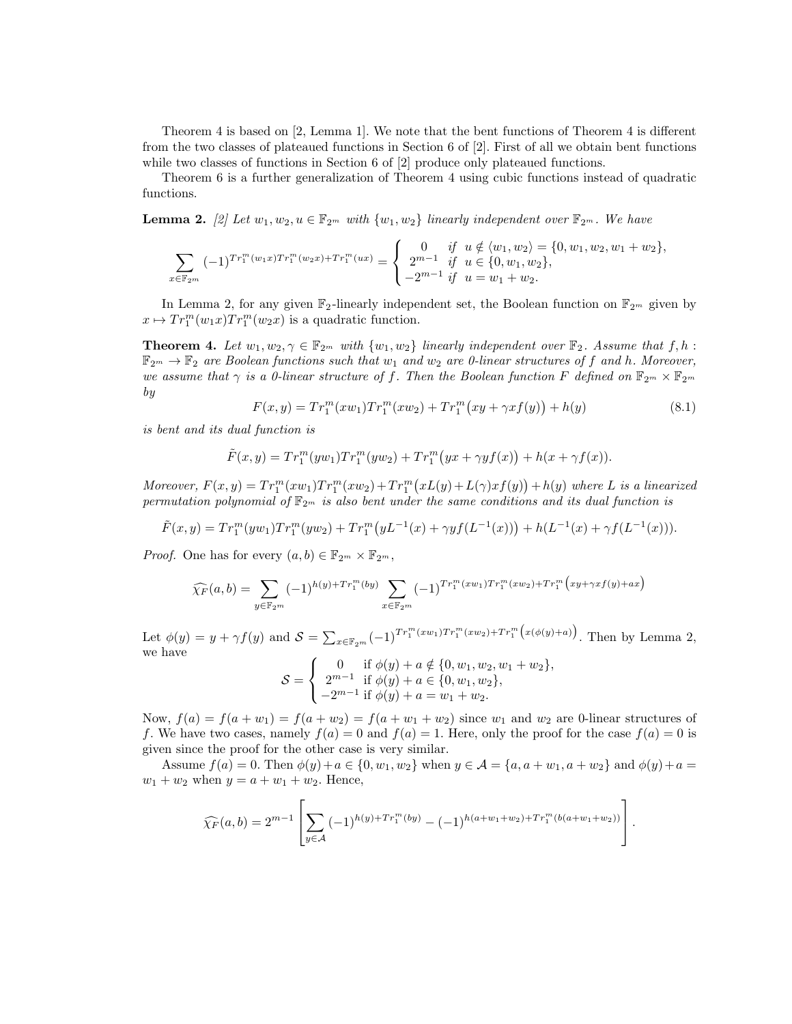Theorem 4 is based on [2, Lemma 1]. We note that the bent functions of Theorem 4 is different from the two classes of plateaued functions in Section 6 of [2]. First of all we obtain bent functions while two classes of functions in Section 6 of [2] produce only plateaued functions.

Theorem 6 is a further generalization of Theorem 4 using cubic functions instead of quadratic functions.

**Lemma 2.** [2] Let  $w_1, w_2, u \in \mathbb{F}_{2^m}$  *with*  $\{w_1, w_2\}$  *linearly independent over*  $\mathbb{F}_{2^m}$ *. We have* 

$$
\sum_{x \in \mathbb{F}_{2^m}} (-1)^{Tr_1^m(w_1x)Tr_1^m(w_2x) + Tr_1^m(ux)} = \begin{cases} 0 & \text{if } u \notin \langle w_1, w_2 \rangle = \{0, w_1, w_2, w_1 + w_2\}, \\ 2^{m-1} & \text{if } u \in \{0, w_1, w_2\}, \\ -2^{m-1} & \text{if } u = w_1 + w_2. \end{cases}
$$

In Lemma 2, for any given  $\mathbb{F}_2$ -linearly independent set, the Boolean function on  $\mathbb{F}_{2^m}$  given by  $x \mapsto Tr_1^m(w_1x)Tr_1^m(w_2x)$  is a quadratic function.

**Theorem 4.** Let  $w_1, w_2, \gamma \in \mathbb{F}_{2^m}$  with  $\{w_1, w_2\}$  linearly independent over  $\mathbb{F}_2$ . Assume that  $f, h$ :  $\mathbb{F}_{2^m} \to \mathbb{F}_2$  are Boolean functions such that  $w_1$  and  $w_2$  are 0-linear structures of f and h. Moreover, *we assume that*  $\gamma$  *is a 0-linear structure of f. Then the Boolean function*  $F$  *defined on*  $\mathbb{F}_{2^m} \times \mathbb{F}_{2^m}$ *by*

$$
F(x,y) = Tr_1^m(xw_1)Tr_1^m(xw_2) + Tr_1^m(xy + \gamma xf(y)) + h(y)
$$
\n(8.1)

*is bent and its dual function is*

$$
\tilde{F}(x,y) = Tr_1^m(yw_1)Tr_1^m(yw_2) + Tr_1^m(yx + \gamma yf(x)) + h(x + \gamma f(x)).
$$

Moreover,  $F(x,y) = Tr_1^m(xw_1)Tr_1^m(xw_2) + Tr_1^m(xL(y) + L(\gamma)xf(y)) + h(y)$  where L is a linearized *permutation polynomial of*  $\mathbb{F}_{2^m}$  *is also bent under the same conditions and its dual function is* 

$$
\tilde{F}(x,y) = Tr_1^m(yw_1)Tr_1^m(yw_2) + Tr_1^m(yL^{-1}(x) + \gamma yf(L^{-1}(x))) + h(L^{-1}(x) + \gamma f(L^{-1}(x))).
$$

*Proof.* One has for every  $(a, b) \in \mathbb{F}_{2^m} \times \mathbb{F}_{2^m}$ ,

$$
\widehat{\chi_F}(a,b) = \sum_{y \in \mathbb{F}_{2^m}} (-1)^{h(y) + Tr_1^m(by)} \sum_{x \in \mathbb{F}_{2^m}} (-1)^{Tr_1^m(xw_1)Tr_1^m(xw_2) + Tr_1^m\big(xy + \gamma xf(y) + ax\big)}
$$

Let  $\phi(y) = y + \gamma f(y)$  and  $S = \sum_{x \in \mathbb{F}_{2^m}} (-1)^{Tr_1^m(xw_1)Tr_1^m(xw_2) + Tr_1^m(x(\phi(y)+a))}$ . Then by Lemma 2, we have

$$
S = \begin{cases} 0 & \text{if } \phi(y) + a \notin \{0, w_1, w_2, w_1 + w_2\}, \\ 2^{m-1} & \text{if } \phi(y) + a \in \{0, w_1, w_2\}, \\ -2^{m-1} & \text{if } \phi(y) + a = w_1 + w_2. \end{cases}
$$

Now,  $f(a) = f(a + w_1) = f(a + w_2) = f(a + w_1 + w_2)$  since  $w_1$  and  $w_2$  are 0-linear structures of *f*. We have two cases, namely  $f(a) = 0$  and  $f(a) = 1$ . Here, only the proof for the case  $f(a) = 0$  is given since the proof for the other case is very similar.

Assume  $f(a) = 0$ . Then  $\phi(y) + a \in \{0, w_1, w_2\}$  when  $y \in A = \{a, a + w_1, a + w_2\}$  and  $\phi(y) + a =$  $w_1 + w_2$  when  $y = a + w_1 + w_2$ . Hence,

$$
\widehat{\chi_F}(a,b) = 2^{m-1} \left[ \sum_{y \in \mathcal{A}} (-1)^{h(y) + Tr_1^m(by)} - (-1)^{h(a+w_1+w_2) + Tr_1^m(b(a+w_1+w_2))} \right].
$$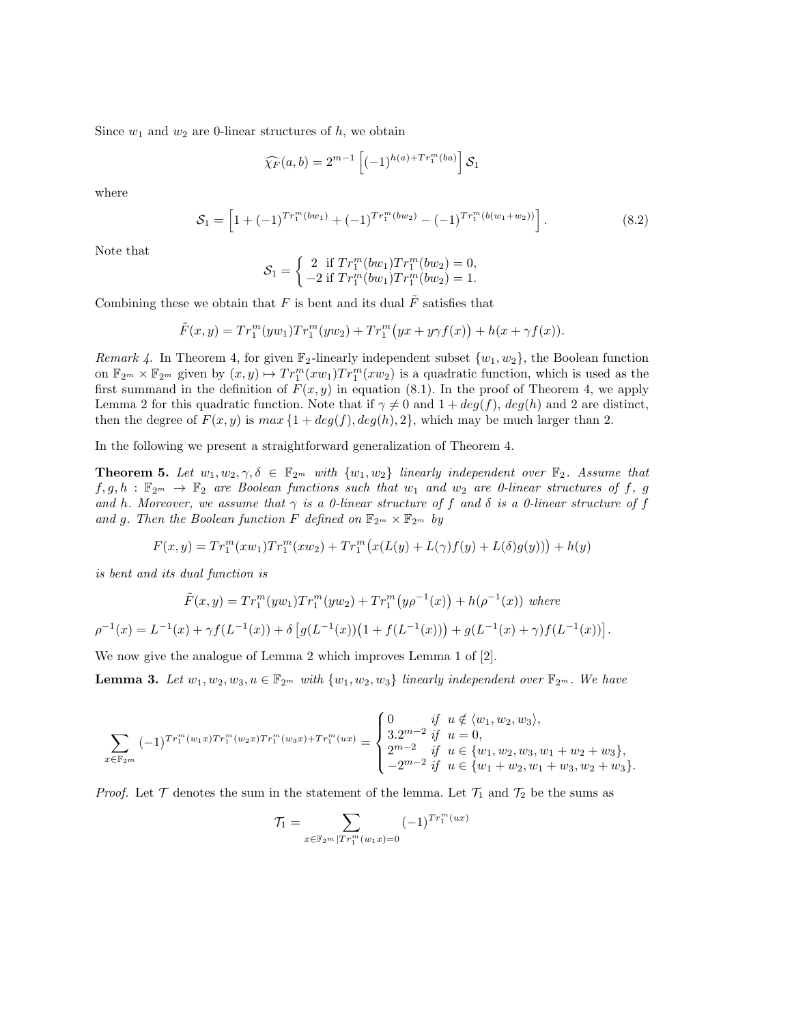Since  $w_1$  and  $w_2$  are 0-linear structures of  $h$ , we obtain

$$
\widehat{\chi_F}(a,b) = 2^{m-1} \left[ (-1)^{h(a) + Tr_1^m(ba)} \right] \mathcal{S}_1
$$

where

$$
S_1 = \left[1 + (-1)^{Tr_1^m(bw_1)} + (-1)^{Tr_1^m(bw_2)} - (-1)^{Tr_1^m(b(w_1 + w_2))}\right].
$$
\n(8.2)

Note that

$$
\mathcal{S}_1 = \begin{cases} 2 & \text{if } Tr_1^m(bw_1)Tr_1^m(bw_2) = 0, \\ -2 & \text{if } Tr_1^m(bw_1)Tr_1^m(bw_2) = 1. \end{cases}
$$

Combining these we obtain that  $F$  is bent and its dual  $\tilde{F}$  satisfies that

$$
\tilde{F}(x,y) = Tr_1^m(yw_1)Tr_1^m(yw_2) + Tr_1^m(yx + y\gamma f(x)) + h(x + \gamma f(x)).
$$

*Remark 4.* In Theorem 4, for given  $\mathbb{F}_2$ -linearly independent subset  $\{w_1, w_2\}$ , the Boolean function on  $\mathbb{F}_{2^m} \times \mathbb{F}_{2^m}$  given by  $(x, y) \mapsto Tr_1^m(xw_1) Tr_1^m(xw_2)$  is a quadratic function, which is used as the first summand in the definition of  $F(x, y)$  in equation (8.1). In the proof of Theorem 4, we apply Lemma 2 for this quadratic function. Note that if  $\gamma \neq 0$  and  $1 + deg(f)$ ,  $deg(h)$  and 2 are distinct, then the degree of  $F(x, y)$  is  $max\{1 + deg(f), deg(h), 2\}$ , which may be much larger than 2.

In the following we present a straightforward generalization of Theorem 4.

**Theorem 5.** Let  $w_1, w_2, \gamma, \delta \in \mathbb{F}_{2^m}$  with  $\{w_1, w_2\}$  linearly independent over  $\mathbb{F}_2$ . Assume that  $f, g, h$ :  $\mathbb{F}_{2^m} \to \mathbb{F}_2$  *are Boolean functions such that*  $w_1$  *and*  $w_2$  *are 0-linear structures of*  $f, g$ *and h. Moreover, we assume that*  $\gamma$  *is a 0-linear structure of f* and  $\delta$  *is a 0-linear structure of f* and g. Then the Boolean function F defined on  $\mathbb{F}_{2^m} \times \mathbb{F}_{2^m}$  by

$$
F(x,y) = Tr_1^m(xw_1)Tr_1^m(xw_2) + Tr_1^m(x(L(y) + L(\gamma)f(y) + L(\delta)g(y))) + h(y)
$$

*is bent and its dual function is*

$$
\tilde{F}(x,y) = Tr_1^m(yw_1)Tr_1^m(yw_2) + Tr_1^m(y\rho^{-1}(x)) + h(\rho^{-1}(x)) \text{ where}
$$
\n
$$
\rho^{-1}(x) = L^{-1}(x) + \gamma f(L^{-1}(x)) + \delta \left[ g(L^{-1}(x)) \left( 1 + f(L^{-1}(x)) \right) + g(L^{-1}(x) + \gamma) f(L^{-1}(x)) \right]
$$

*.*

We now give the analogue of Lemma 2 which improves Lemma 1 of [2].

**Lemma 3.** Let  $w_1, w_2, w_3, u \in \mathbb{F}_{2^m}$  with  $\{w_1, w_2, w_3\}$  linearly independent over  $\mathbb{F}_{2^m}$ *. We have* 

$$
\sum_{x \in \mathbb{F}_2 m} (-1)^{Tr_1^m(w_1x)Tr_1^m(w_2x)Tr_1^m(w_3x) + Tr_1^m(ux)} = \begin{cases} 0 & \text{if } u \notin \langle w_1, w_2, w_3 \rangle, \\ 3.2^{m-2} & \text{if } u = 0, \\ 2^{m-2} & \text{if } u \in \{w_1, w_2, w_3, w_1 + w_2 + w_3\}, \\ -2^{m-2} & \text{if } u \in \{w_1 + w_2, w_1 + w_3, w_2 + w_3\}. \end{cases}
$$

*Proof.* Let  $\mathcal T$  denotes the sum in the statement of the lemma. Let  $\mathcal T_1$  and  $\mathcal T_2$  be the sums as

$$
\mathcal{T}_1 = \sum_{x \in \mathbb{F}_{2^m} | Tr_1^m(w_1 x) = 0} (-1)^{Tr_1^m(ux)}
$$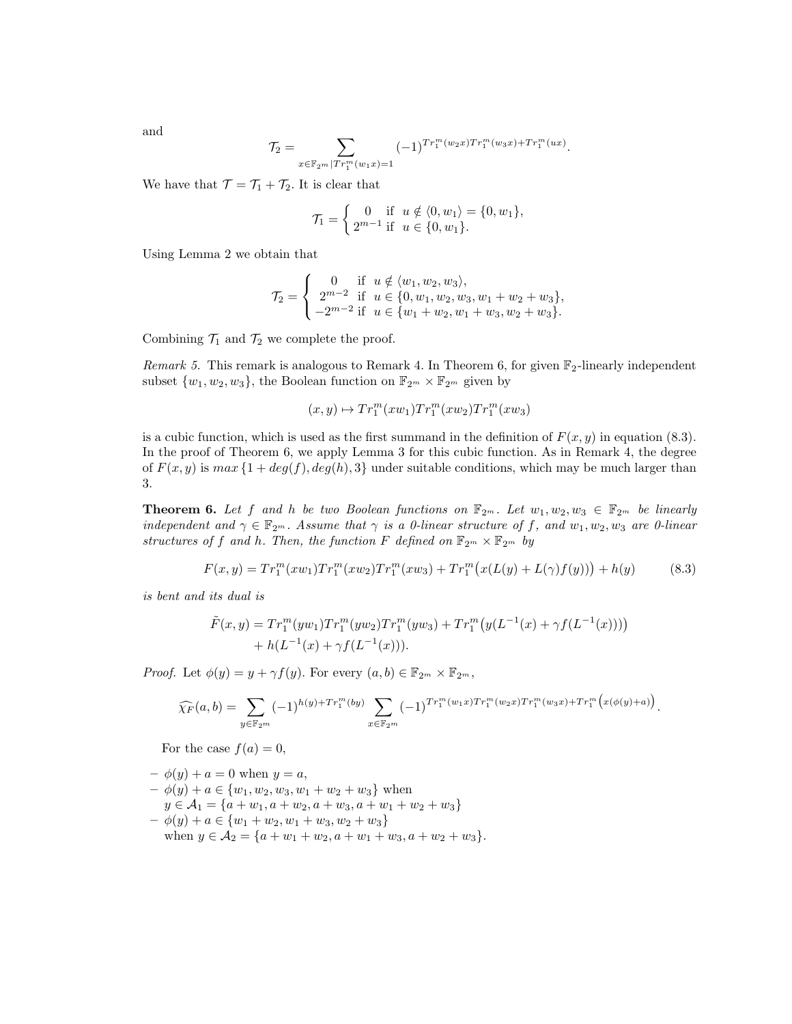and

$$
\mathcal{T}_2 = \sum_{x \in \mathbb{F}_{2^m} | Tr_1^m(w_1 x) = 1} (-1)^{Tr_1^m(w_2 x) Tr_1^m(w_3 x) + Tr_1^m(wx)}.
$$

We have that  $\mathcal{T} = \mathcal{T}_1 + \mathcal{T}_2$ . It is clear that

$$
\mathcal{T}_1 = \begin{cases} 0 & \text{if } u \notin \langle 0, w_1 \rangle = \{0, w_1\}, \\ 2^{m-1} & \text{if } u \in \{0, w_1\}. \end{cases}
$$

Using Lemma 2 we obtain that

$$
\mathcal{T}_2 = \begin{cases}\n0 & \text{if } u \notin \langle w_1, w_2, w_3 \rangle, \\
2^{m-2} & \text{if } u \in \{0, w_1, w_2, w_3, w_1 + w_2 + w_3\}, \\
-2^{m-2} & \text{if } u \in \{w_1 + w_2, w_1 + w_3, w_2 + w_3\}.\n\end{cases}
$$

Combining  $\mathcal{T}_1$  and  $\mathcal{T}_2$  we complete the proof.

*Remark 5.* This remark is analogous to Remark 4. In Theorem 6, for given  $\mathbb{F}_2$ -linearly independent subset  $\{w_1, w_2, w_3\}$ , the Boolean function on  $\mathbb{F}_{2^m} \times \mathbb{F}_{2^m}$  given by

$$
(x,y)\mapsto Tr_1^m(xw_1)Tr_1^m(xw_2)Tr_1^m(xw_3)
$$

is a cubic function, which is used as the first summand in the definition of  $F(x, y)$  in equation (8.3). In the proof of Theorem 6, we apply Lemma 3 for this cubic function. As in Remark 4, the degree of  $F(x, y)$  is  $max\{1 + deg(f), deg(h), 3\}$  under suitable conditions, which may be much larger than 3.

**Theorem 6.** Let f and h be two Boolean functions on  $\mathbb{F}_{2^m}$ . Let  $w_1, w_2, w_3 \in \mathbb{F}_{2^m}$  be linearly *independent and*  $\gamma \in \mathbb{F}_{2^m}$ *. Assume that*  $\gamma$  *is a 0-linear structure of f, and*  $w_1, w_2, w_3$  *are 0-linear structures of f and h. Then, the function F defined on*  $\mathbb{F}_{2^m} \times \mathbb{F}_{2^m}$  *by* 

$$
F(x,y) = Tr_1^m(xw_1)Tr_1^m(xw_2)Tr_1^m(xw_3) + Tr_1^m(x(L(y) + L(\gamma)f(y))) + h(y)
$$
(8.3)

*is bent and its dual is*

$$
\tilde{F}(x,y) = Tr_1^m(yw_1)Tr_1^m(yw_2)Tr_1^m(yw_3) + Tr_1^m(y(L^{-1}(x) + \gamma f(L^{-1}(x)))) + h(L^{-1}(x) + \gamma f(L^{-1}(x))).
$$

*Proof.* Let  $\phi(y) = y + \gamma f(y)$ . For every  $(a, b) \in \mathbb{F}_{2^m} \times \mathbb{F}_{2^m}$ ,

$$
\widehat{\chi_F}(a,b) = \sum_{y \in \mathbb{F}_{2^m}} (-1)^{h(y) + Tr_1^m(by)} \sum_{x \in \mathbb{F}_{2^m}} (-1)^{Tr_1^m(w_1x)Tr_1^m(w_2x)Tr_1^m(w_3x) + Tr_1^m(x(\phi(y)+a))}.
$$

For the case  $f(a) = 0$ ,

 $-\phi(y) + a = 0$  when  $y = a$ ,  $- φ(y) + a ∈ {w_1, w_2, w_3, w_1 + w_2 + w_3}$  when  $y \in A_1 = \{a + w_1, a + w_2, a + w_3, a + w_1 + w_2 + w_3\}$  $- \phi(y) + a \in \{w_1 + w_2, w_1 + w_3, w_2 + w_3\}$ when  $y \in A_2 = \{a + w_1 + w_2, a + w_1 + w_3, a + w_2 + w_3\}.$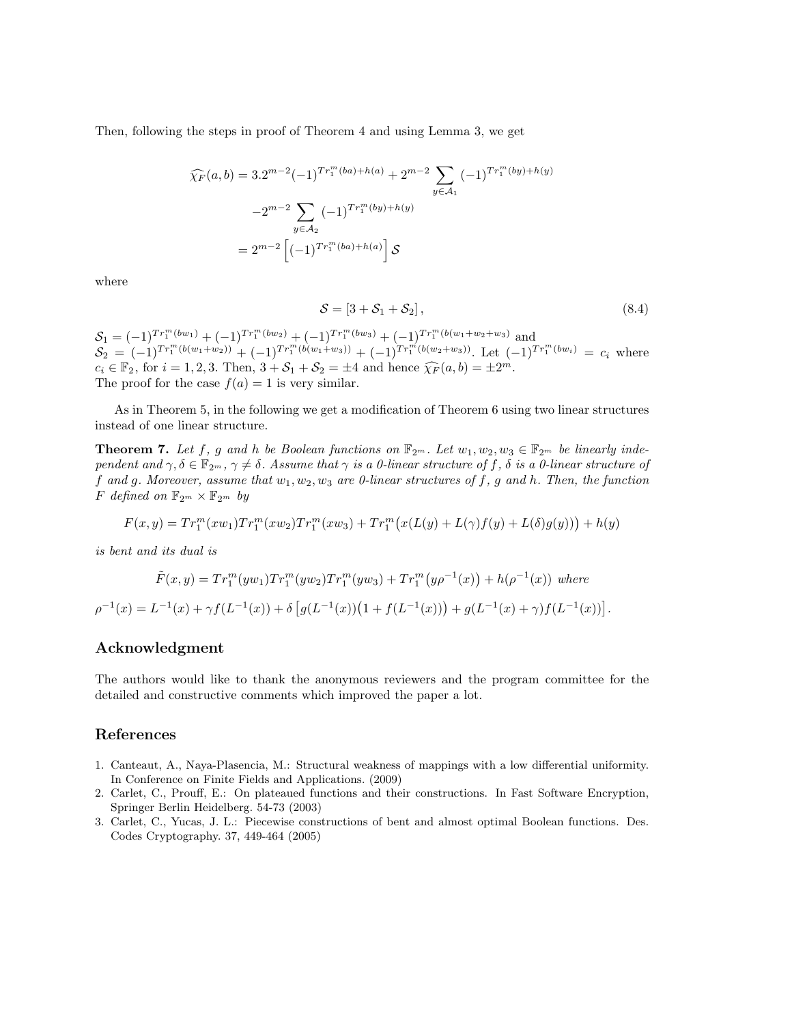Then, following the steps in proof of Theorem 4 and using Lemma 3, we get

$$
\widehat{\chi_F}(a,b) = 3 \cdot 2^{m-2} (-1)^{Tr_1^m(ba) + h(a)} + 2^{m-2} \sum_{y \in A_1} (-1)^{Tr_1^m(by) + h(y)}
$$

$$
-2^{m-2} \sum_{y \in A_2} (-1)^{Tr_1^m(by) + h(y)}
$$

$$
= 2^{m-2} \left[ (-1)^{Tr_1^m(ba) + h(a)} \right] \mathcal{S}
$$

where

$$
S = [3 + S_1 + S_2], \tag{8.4}
$$

 $S_1 = (-1)^{Tr_1^m(bw_1)} + (-1)^{Tr_1^m(bw_2)} + (-1)^{Tr_1^m(bw_3)} + (-1)^{Tr_1^m(b(w_1+w_2+w_3))}$  and  $\mathcal{S}_2 = (-1)^{Tr_1^m(b(w_1+w_2))} + (-1)^{Tr_1^m(b(w_1+w_3))} + (-1)^{Tr_1^m(b(w_2+w_3))}$ . Let  $(-1)^{Tr_1^m(bw_i)} = c_i$  where  $c_i \in \mathbb{F}_2$ , for  $i = 1, 2, 3$ . Then,  $3 + S_1 + S_2 = \pm 4$  and hence  $\widehat{\chi}_F(a, b) = \pm 2^m$ . The proof for the case  $f(a) = 1$  is very similar.

As in Theorem 5, in the following we get a modification of Theorem 6 using two linear structures instead of one linear structure.

**Theorem 7.** Let  $f$ ,  $g$  and  $h$  be Boolean functions on  $\mathbb{F}_{2^m}$ . Let  $w_1, w_2, w_3 \in \mathbb{F}_{2^m}$  be linearly inde*pendent and*  $\gamma, \delta \in \mathbb{F}_{2^m}, \gamma \neq \delta$ *. Assume that*  $\gamma$  *is a 0-linear structure of*  $f, \delta$  *is a 0-linear structure of f and g. Moreover, assume that w*1*, w*2*, w*<sup>3</sup> *are 0-linear structures of f, g and h. Then, the function F defined on*  $\mathbb{F}_{2^m} \times \mathbb{F}_{2^m}$  *by* 

$$
F(x,y) = Tr_1^m(xw_1)Tr_1^m(xw_2)Tr_1^m(xw_3) + Tr_1^m(x(L(y) + L(\gamma)f(y) + L(\delta)g(y))) + h(y)
$$

*is bent and its dual is*

$$
\tilde{F}(x,y) = Tr_1^m(yw_1)Tr_1^m(yw_2)Tr_1^m(yw_3) + Tr_1^m(y\rho^{-1}(x)) + h(\rho^{-1}(x)) \text{ where}
$$
\n
$$
\rho^{-1}(x) = L^{-1}(x) + \gamma f(L^{-1}(x)) + \delta \left[ g(L^{-1}(x)) \left( 1 + f(L^{-1}(x)) \right) + g(L^{-1}(x) + \gamma) f(L^{-1}(x)) \right].
$$

#### **Acknowledgment**

The authors would like to thank the anonymous reviewers and the program committee for the detailed and constructive comments which improved the paper a lot.

#### **References**

- 1. Canteaut, A., Naya-Plasencia, M.: Structural weakness of mappings with a low differential uniformity. In Conference on Finite Fields and Applications. (2009)
- 2. Carlet, C., Prouff, E.: On plateaued functions and their constructions. In Fast Software Encryption, Springer Berlin Heidelberg. 54-73 (2003)
- 3. Carlet, C., Yucas, J. L.: Piecewise constructions of bent and almost optimal Boolean functions. Des. Codes Cryptography. 37, 449-464 (2005)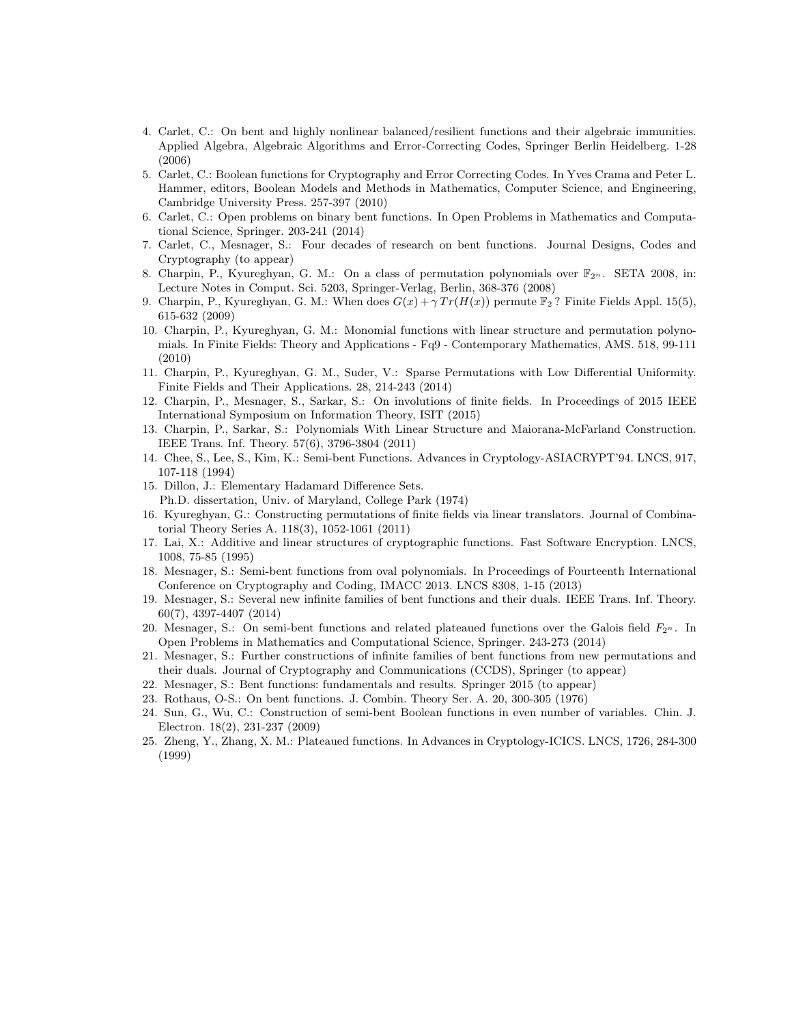- 4. Carlet, C.: On bent and highly nonlinear balanced/resilient functions and their algebraic immunities. Applied Algebra, Algebraic Algorithms and Error-Correcting Codes, Springer Berlin Heidelberg. 1-28 (2006)
- 5. Carlet, C.: Boolean functions for Cryptography and Error Correcting Codes. In Yves Crama and Peter L. Hammer, editors, Boolean Models and Methods in Mathematics, Computer Science, and Engineering, Cambridge University Press. 257-397 (2010)
- 6. Carlet, C.: Open problems on binary bent functions. In Open Problems in Mathematics and Computational Science, Springer. 203-241 (2014)
- 7. Carlet, C., Mesnager, S.: Four decades of research on bent functions. Journal Designs, Codes and Cryptography (to appear)
- 8. Charpin, P., Kyureghyan, G. M.: On a class of permutation polynomials over  $\mathbb{F}_{2^n}$ . SETA 2008, in: Lecture Notes in Comput. Sci. 5203, Springer-Verlag, Berlin, 368-376 (2008)
- 9. Charpin, P., Kyureghyan, G. M.: When does  $G(x) + \gamma Tr(H(x))$  permute  $\mathbb{F}_2$ ? Finite Fields Appl. 15(5), 615-632 (2009)
- 10. Charpin, P., Kyureghyan, G. M.: Monomial functions with linear structure and permutation polynomials. In Finite Fields: Theory and Applications - Fq9 - Contemporary Mathematics, AMS. 518, 99-111 (2010)
- 11. Charpin, P., Kyureghyan, G. M., Suder, V.: Sparse Permutations with Low Differential Uniformity. Finite Fields and Their Applications. 28, 214-243 (2014)
- 12. Charpin, P., Mesnager, S., Sarkar, S.: On involutions of finite fields. In Proceedings of 2015 IEEE International Symposium on Information Theory, ISIT (2015)
- 13. Charpin, P., Sarkar, S.: Polynomials With Linear Structure and Maiorana-McFarland Construction. IEEE Trans. Inf. Theory. 57(6), 3796-3804 (2011)
- 14. Chee, S., Lee, S., Kim, K.: Semi-bent Functions. Advances in Cryptology-ASIACRYPT'94. LNCS, 917, 107-118 (1994)
- 15. Dillon, J.: Elementary Hadamard Difference Sets. Ph.D. dissertation, Univ. of Maryland, College Park (1974)
- 16. Kyureghyan, G.: Constructing permutations of finite fields via linear translators. Journal of Combinatorial Theory Series A. 118(3), 1052-1061 (2011)
- 17. Lai, X.: Additive and linear structures of cryptographic functions. Fast Software Encryption. LNCS, 1008, 75-85 (1995)
- 18. Mesnager, S.: Semi-bent functions from oval polynomials. In Proceedings of Fourteenth International Conference on Cryptography and Coding, IMACC 2013. LNCS 8308, 1-15 (2013)
- 19. Mesnager, S.: Several new infinite families of bent functions and their duals. IEEE Trans. Inf. Theory. 60(7), 4397-4407 (2014)
- 20. Mesnager, S.: On semi-bent functions and related plateaued functions over the Galois field *F*2*<sup>n</sup>* . In Open Problems in Mathematics and Computational Science, Springer. 243-273 (2014)
- 21. Mesnager, S.: Further constructions of infinite families of bent functions from new permutations and their duals. Journal of Cryptography and Communications (CCDS), Springer (to appear)
- 22. Mesnager, S.: Bent functions: fundamentals and results. Springer 2015 (to appear)
- 23. Rothaus, O-S.: On bent functions. J. Combin. Theory Ser. A. 20, 300-305 (1976)
- 24. Sun, G., Wu, C.: Construction of semi-bent Boolean functions in even number of variables. Chin. J. Electron. 18(2), 231-237 (2009)
- 25. Zheng, Y., Zhang, X. M.: Plateaued functions. In Advances in Cryptology-ICICS. LNCS, 1726, 284-300 (1999)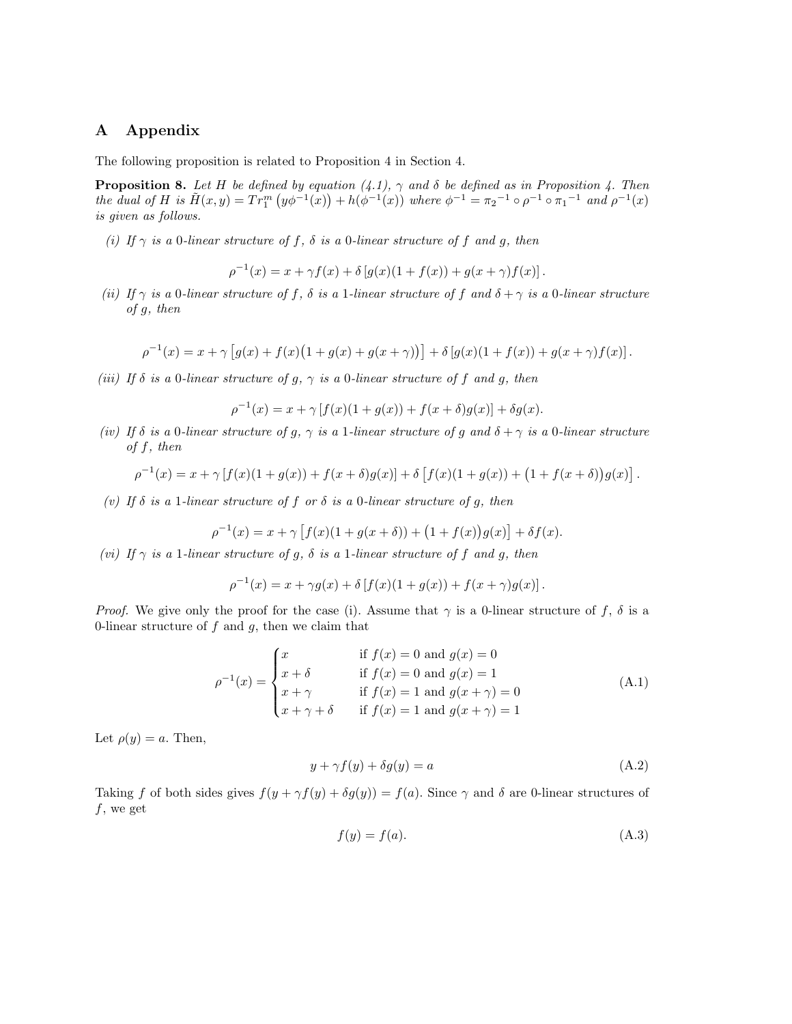#### **A Appendix**

The following proposition is related to Proposition 4 in Section 4.

**Proposition 8.** *Let H be defined by equation*  $(4.1)$ ,  $\gamma$  *and*  $\delta$  *be defined as in Proposition* 4. Then the dual of H is  $\tilde{H}(x,y) = Tr_1^m (y\phi^{-1}(x)) + h(\phi^{-1}(x))$  where  $\phi^{-1} = \pi_2^{-1} \circ \rho^{-1} \circ \pi_1^{-1}$  and  $\rho^{-1}(x)$ *is given as follows.*

*(i) If*  $\gamma$  *is a* 0*-linear structure of f,*  $\delta$  *is a* 0*-linear structure of f and g, then* 

$$
\rho^{-1}(x) = x + \gamma f(x) + \delta [g(x)(1 + f(x)) + g(x + \gamma) f(x)].
$$

*(ii)* If  $\gamma$  *is a* 0*-linear structure of f*,  $\delta$  *is a* 1*-linear structure of f* and  $\delta + \gamma$  *is a* 0*-linear structure of g, then*

$$
\rho^{-1}(x) = x + \gamma \left[ g(x) + f(x) \big( 1 + g(x) + g(x + \gamma) \big) \right] + \delta \left[ g(x) (1 + f(x)) + g(x + \gamma) f(x) \right].
$$

*(iii) If*  $\delta$  *is a* 0*-linear structure of*  $g$ *,*  $\gamma$  *is a* 0*-linear structure of*  $f$  *and*  $g$ *, then* 

$$
\rho^{-1}(x) = x + \gamma [f(x)(1 + g(x)) + f(x + \delta)g(x)] + \delta g(x).
$$

*(iv)* If  $\delta$  *is a* 0*-linear structure of g,*  $\gamma$  *<i>is a* 1*-linear structure of g and*  $\delta + \gamma$  *is a* 0*-linear structure of f, then*

$$
\rho^{-1}(x) = x + \gamma [f(x)(1 + g(x)) + f(x + \delta)g(x)] + \delta [f(x)(1 + g(x)) + (1 + f(x + \delta))g(x)].
$$

*(v) If δ is a* 1*-linear structure of f or δ is a* 0*-linear structure of g, then*

$$
\rho^{-1}(x) = x + \gamma \left[ f(x)(1 + g(x + \delta)) + (1 + f(x))g(x) \right] + \delta f(x).
$$

*(vi) If*  $\gamma$  *is a* 1*-linear structure of g,*  $\delta$  *is a* 1*-linear structure of f and g, then* 

$$
\rho^{-1}(x) = x + \gamma g(x) + \delta [f(x)(1 + g(x)) + f(x + \gamma)g(x)].
$$

*Proof.* We give only the proof for the case (i). Assume that  $\gamma$  is a 0-linear structure of *f*,  $\delta$  is a 0-linear structure of *f* and *g*, then we claim that

$$
\rho^{-1}(x) = \begin{cases}\nx & \text{if } f(x) = 0 \text{ and } g(x) = 0 \\
x + \delta & \text{if } f(x) = 0 \text{ and } g(x) = 1 \\
x + \gamma & \text{if } f(x) = 1 \text{ and } g(x + \gamma) = 0 \\
x + \gamma + \delta & \text{if } f(x) = 1 \text{ and } g(x + \gamma) = 1\n\end{cases}
$$
\n(A.1)

Let  $\rho(y) = a$ . Then,

$$
y + \gamma f(y) + \delta g(y) = a \tag{A.2}
$$

Taking *f* of both sides gives  $f(y + \gamma f(y) + \delta g(y)) = f(a)$ . Since  $\gamma$  and  $\delta$  are 0-linear structures of *f*, we get

$$
f(y) = f(a). \tag{A.3}
$$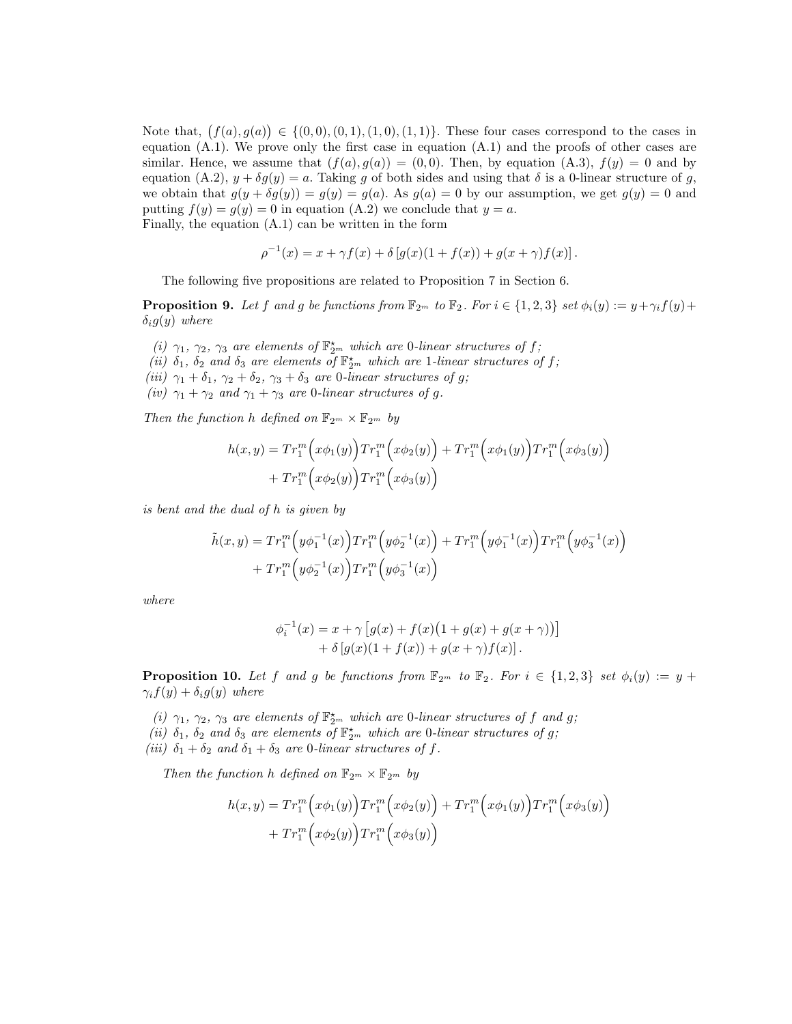Note that,  $(f(a), g(a)) \in \{(0,0), (0,1), (1,0), (1,1)\}$ . These four cases correspond to the cases in equation  $(A.1)$ . We prove only the first case in equation  $(A.1)$  and the proofs of other cases are similar. Hence, we assume that  $(f(a), g(a)) = (0, 0)$ . Then, by equation  $(A.3)$ ,  $f(y) = 0$  and by equation (A.2),  $y + \delta g(y) = a$ . Taking *g* of both sides and using that  $\delta$  is a 0-linear structure of *g*, we obtain that  $g(y + \delta g(y)) = g(y) = g(a)$ . As  $g(a) = 0$  by our assumption, we get  $g(y) = 0$  and putting  $f(y) = g(y) = 0$  in equation (A.2) we conclude that  $y = a$ . Finally, the equation (A.1) can be written in the form

$$
\rho^{-1}(x) = x + \gamma f(x) + \delta [g(x)(1 + f(x)) + g(x + \gamma) f(x)].
$$

The following five propositions are related to Proposition 7 in Section 6.

**Proposition 9.** Let f and g be functions from  $\mathbb{F}_{2^m}$  to  $\mathbb{F}_2$ . For  $i \in \{1,2,3\}$  set  $\phi_i(y) := y + \gamma_i f(y) +$ *δig*(*y*) *where*

*(i)*  $\gamma_1$ ,  $\gamma_2$ ,  $\gamma_3$  *are elements of*  $\mathbb{F}_{2^m}^{\star}$  *which are* 0*-linear structures of f*; (*ii*)  $\delta_1$ ,  $\delta_2$  *and*  $\delta_3$  *are elements of*  $\mathbb{F}_{2^m}^{\star}$  *which are* 1*-linear structures of*  $f$ ; *(iii)*  $\gamma_1 + \delta_1$ ,  $\gamma_2 + \delta_2$ ,  $\gamma_3 + \delta_3$  *are* 0*-linear structures of g*; *(iv)*  $\gamma_1 + \gamma_2$  *and*  $\gamma_1 + \gamma_3$  *are* 0*-linear structures of g.* 

*Then the function h defined on*  $\mathbb{F}_{2^m} \times \mathbb{F}_{2^m}$  *by* 

$$
h(x,y) = Tr_1^m (x\phi_1(y)) Tr_1^m (x\phi_2(y)) + Tr_1^m (x\phi_1(y)) Tr_1^m (x\phi_3(y)) + Tr_1^m (x\phi_2(y)) Tr_1^m (x\phi_3(y))
$$

*is bent and the dual of h is given by*

$$
\tilde{h}(x,y) = Tr_1^m \left( y \phi_1^{-1}(x) \right) Tr_1^m \left( y \phi_2^{-1}(x) \right) + Tr_1^m \left( y \phi_1^{-1}(x) \right) Tr_1^m \left( y \phi_3^{-1}(x) \right) \n+ Tr_1^m \left( y \phi_2^{-1}(x) \right) Tr_1^m \left( y \phi_3^{-1}(x) \right)
$$

*where*

$$
\phi_i^{-1}(x) = x + \gamma \left[ g(x) + f(x) \left( 1 + g(x) + g(x + \gamma) \right) \right] + \delta \left[ g(x) \left( 1 + f(x) \right) + g(x + \gamma) f(x) \right].
$$

**Proposition 10.** Let f and g be functions from  $\mathbb{F}_{2^m}$  to  $\mathbb{F}_2$ . For  $i \in \{1,2,3\}$  set  $\phi_i(y) := y +$  $\gamma_i f(y) + \delta_i g(y)$  *where* 

*(i)*  $\gamma_1$ ,  $\gamma_2$ ,  $\gamma_3$  *are elements of*  $\mathbb{F}_{2^m}^{\star}$  *which are* 0*-linear structures of f and g*; (*ii*)  $\delta_1$ ,  $\delta_2$  *and*  $\delta_3$  *are elements of*  $\mathbb{F}_{2^m}^{\star}$  *which are* 0*-linear structures of g*; (*iii*)  $\delta_1 + \delta_2$  *and*  $\delta_1 + \delta_3$  *are* 0*-linear structures of f.* 

*Then the function h defined on*  $\mathbb{F}_{2^m} \times \mathbb{F}_{2^m}$  *by* 

$$
h(x,y) = Tr_1^m (x\phi_1(y)) Tr_1^m (x\phi_2(y)) + Tr_1^m (x\phi_1(y)) Tr_1^m (x\phi_3(y)) + Tr_1^m (x\phi_2(y)) Tr_1^m (x\phi_3(y))
$$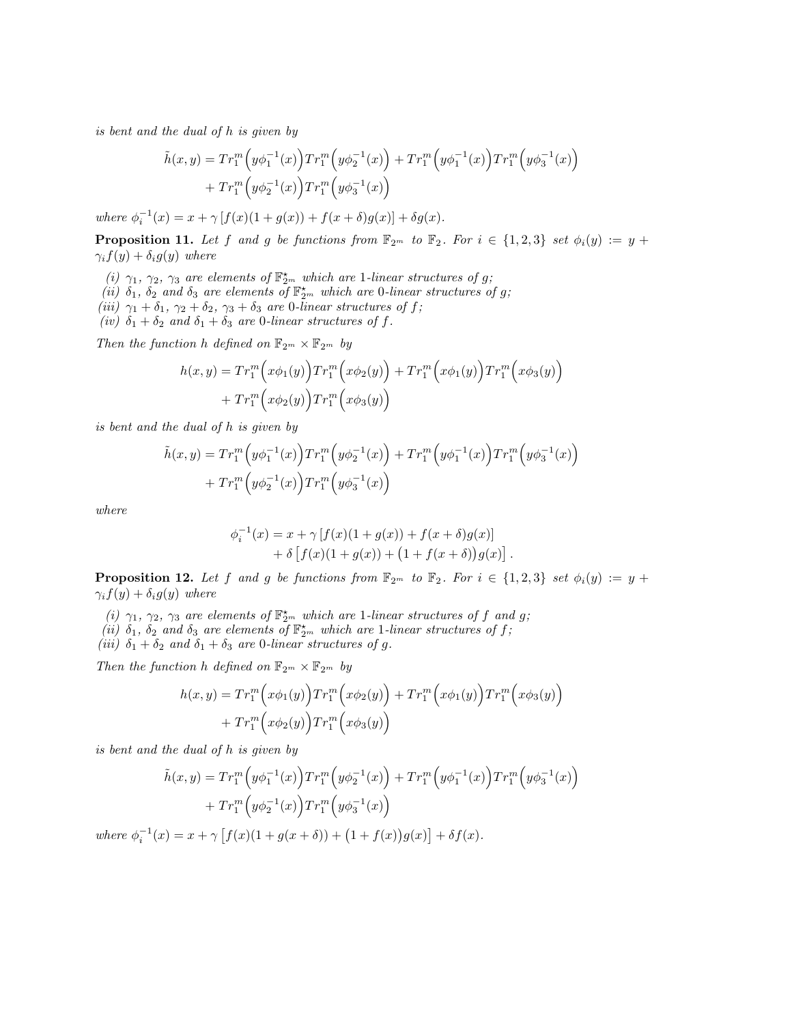*is bent and the dual of h is given by*

$$
\tilde{h}(x,y) = Tr_1^m \left( y \phi_1^{-1}(x) \right) Tr_1^m \left( y \phi_2^{-1}(x) \right) + Tr_1^m \left( y \phi_1^{-1}(x) \right) Tr_1^m \left( y \phi_3^{-1}(x) \right) \n+ Tr_1^m \left( y \phi_2^{-1}(x) \right) Tr_1^m \left( y \phi_3^{-1}(x) \right)
$$

 $where \ \phi_i^{-1}(x) = x + \gamma [f(x)(1 + g(x)) + f(x + \delta)g(x)] + \delta g(x).$ 

**Proposition 11.** Let f and g be functions from  $\mathbb{F}_{2^m}$  to  $\mathbb{F}_2$ . For  $i \in \{1,2,3\}$  set  $\phi_i(y) := y +$  $\gamma_i f(y) + \delta_i g(y)$  *where* 

- *(i)*  $\gamma_1$ ,  $\gamma_2$ ,  $\gamma_3$  *are elements of*  $\mathbb{F}_{2^m}^{\star}$  *which are* 1*-linear structures of g*;
- (*ii*)  $\delta_1$ ,  $\delta_2$  *and*  $\delta_3$  *are elements of*  $\mathbb{F}_{2^m}^{\star}$  *which are* 0*-linear structures of g*;
- $(iii)$   $\gamma_1 + \delta_1$ ,  $\gamma_2 + \delta_2$ ,  $\gamma_3 + \delta_3$  *are* 0*-linear structures of f;*
- *(iv)*  $\delta_1 + \delta_2$  *and*  $\delta_1 + \delta_3$  *are* 0*-linear structures of f.*

*Then the function h defined on*  $\mathbb{F}_{2^m} \times \mathbb{F}_{2^m}$  *by* 

$$
h(x,y) = Tr_1^m (x\phi_1(y)) Tr_1^m (x\phi_2(y)) + Tr_1^m (x\phi_1(y)) Tr_1^m (x\phi_3(y))
$$
  
+ 
$$
Tr_1^m (x\phi_2(y)) Tr_1^m (x\phi_3(y))
$$

*is bent and the dual of h is given by*

$$
\tilde{h}(x,y) = Tr_1^m \left( y \phi_1^{-1}(x) \right) Tr_1^m \left( y \phi_2^{-1}(x) \right) + Tr_1^m \left( y \phi_1^{-1}(x) \right) Tr_1^m \left( y \phi_3^{-1}(x) \right) \n+ Tr_1^m \left( y \phi_2^{-1}(x) \right) Tr_1^m \left( y \phi_3^{-1}(x) \right)
$$

*where*

$$
\phi_i^{-1}(x) = x + \gamma [f(x)(1 + g(x)) + f(x + \delta)g(x)] + \delta [f(x)(1 + g(x)) + (1 + f(x + \delta))g(x)].
$$

**Proposition 12.** Let f and g be functions from  $\mathbb{F}_{2^m}$  to  $\mathbb{F}_2$ . For  $i \in \{1,2,3\}$  set  $\phi_i(y) := y +$  $\gamma_i f(y) + \delta_i g(y)$  *where* 

- *(i)*  $\gamma_1$ ,  $\gamma_2$ ,  $\gamma_3$  *are elements of*  $\mathbb{F}_{2^m}^{\star}$  *which are 1-linear structures of f and g*;
- (*ii*)  $\delta_1$ ,  $\delta_2$  *and*  $\delta_3$  *are elements of*  $\mathbb{F}_{2^m}^{\star}$  *which are* 1*-linear structures of*  $f$ ;
- *(iii)*  $\delta_1 + \delta_2$  *and*  $\delta_1 + \delta_3$  *are* 0*-linear structures of g.*

*Then the function h defined on*  $\mathbb{F}_{2^m} \times \mathbb{F}_{2^m}$  *by* 

$$
h(x,y) = Tr_1^m (x\phi_1(y)) Tr_1^m (x\phi_2(y)) + Tr_1^m (x\phi_1(y)) Tr_1^m (x\phi_3(y))
$$
  
+ 
$$
Tr_1^m (x\phi_2(y)) Tr_1^m (x\phi_3(y))
$$

*is bent and the dual of h is given by*

$$
\tilde{h}(x,y) = Tr_1^m \left( y\phi_1^{-1}(x) \right) Tr_1^m \left( y\phi_2^{-1}(x) \right) + Tr_1^m \left( y\phi_1^{-1}(x) \right) Tr_1^m \left( y\phi_3^{-1}(x) \right) \n+ Tr_1^m \left( y\phi_2^{-1}(x) \right) Tr_1^m \left( y\phi_3^{-1}(x) \right)
$$

 $where \ \phi_i^{-1}(x) = x + \gamma \left[ f(x)(1 + g(x + \delta)) + (1 + f(x))g(x) \right] + \delta f(x).$